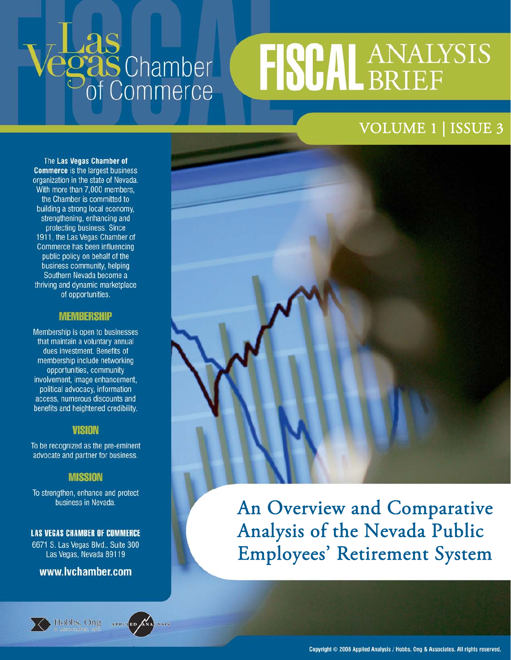# **Egas** Chamber

## FISCAL ANALYSIS

#### VOLUME 1 | ISSUE 3

The Las Vegas Chamber of **Commerce** is the largest business organization in the state of Nevada. With more than 7,000 members. the Chamber is committed to building a strong local economy, strengthening, enhancing and protecting business. Since 1911, the Las Vegas Chamber of Commerce has been influencing public policy on behalf of the business community, helping Southern Nevada become a thriving and dynamic marketplace of opportunities.

#### **MEMBERSHIP**

Membership is open to businesses that maintain a voluntary annual dues investment. Benefits of membership include networking opportunities, community involvement, image enhancement, political advocacy, information access, numerous discounts and benefits and heightened credibility.

#### **VISION**

To be recognized as the pre-eminent advocate and partner for business.

#### **MISSION**

To strengthen, enhance and protect business in Nevada.

#### **LAS VEGAS CHAMBER OF COMMERCE**

6671 S. Las Vegas Blvd., Suite 300 Las Vegas, Nevada 89119

#### www.lvchamber.com



Hobbs, Ong APPLIED



An Overview and Comparative Analysis of the Nevada Public Employees' Retirement System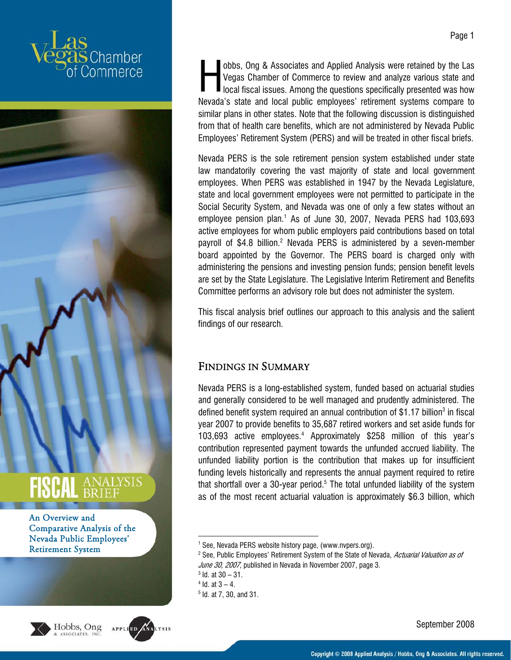







obbs, Ong & Associates and Applied Analysis were retained by the Las Vegas Chamber of Commerce to review and analyze various state and obbs, Ong & Associates and Applied Analysis were retained by the Las<br>
Vegas Chamber of Commerce to review and analyze various state and<br>
local fiscal issues. Among the questions specifically presented was how<br>
Manaking att Nevada's state and local public employees' retirement systems compare to similar plans in other states. Note that the following discussion is distinguished from that of health care benefits, which are not administered by Nevada Public Employees' Retirement System (PERS) and will be treated in other fiscal briefs.

Nevada PERS is the sole retirement pension system established under state law mandatorily covering the vast majority of state and local government employees. When PERS was established in 1947 by the Nevada Legislature, state and local government employees were not permitted to participate in the Social Security System, and Nevada was one of only a few states without an employee pension plan.<sup>1</sup> As of June 30, 2007, Nevada PERS had 103,693 active employees for whom public employers paid contributions based on total payroll of \$4.8 billion.<sup>2</sup> Nevada PERS is administered by a seven-member board appointed by the Governor. The PERS board is charged only with administering the pensions and investing pension funds; pension benefit levels are set by the State Legislature. The Legislative Interim Retirement and Benefits Committee performs an advisory role but does not administer the system.

This fiscal analysis brief outlines our approach to this analysis and the salient findings of our research.

#### FINDINGS IN SUMMARY

Nevada PERS is a long-established system, funded based on actuarial studies and generally considered to be well managed and prudently administered. The defined benefit system required an annual contribution of  $$1.17$  billion<sup>3</sup> in fiscal year 2007 to provide benefits to 35,687 retired workers and set aside funds for 103,693 active employees.4 Approximately \$258 million of this year's contribution represented payment towards the unfunded accrued liability. The unfunded liability portion is the contribution that makes up for insufficient funding levels historically and represents the annual payment required to retire that shortfall over a 30-year period. $5$  The total unfunded liability of the system as of the most recent actuarial valuation is approximately \$6.3 billion, which

 $4$  Id. at  $3 - 4$ .

.

<sup>&</sup>lt;sup>1</sup> See, Nevada PERS website history page, (www.nvpers.org).<br><sup>2</sup> See, Public Employees' Betirement System of the State of Ne

<sup>&</sup>lt;sup>2</sup> See, Public Employees' Retirement System of the State of Nevada, Actuarial Valuation as of June 30, 2007, published in Nevada in November 2007, page 3.

 $3$  Id. at  $30 - 31$ .

<sup>5</sup> Id. at 7, 30, and 31.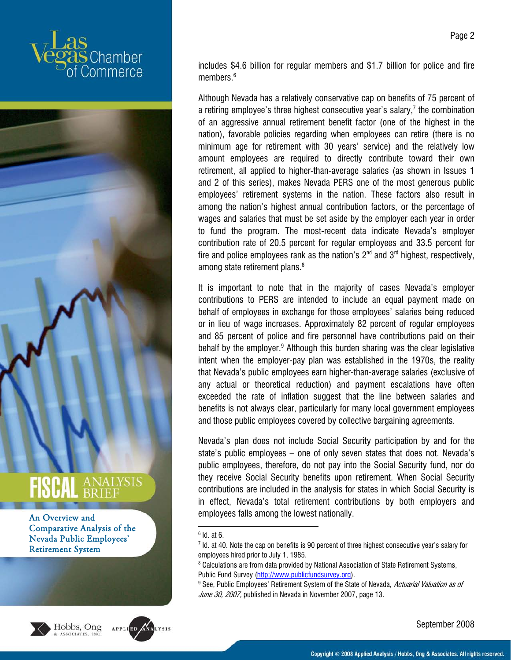







includes \$4.6 billion for regular members and \$1.7 billion for police and fire members.<sup>6</sup>

Although Nevada has a relatively conservative cap on benefits of 75 percent of a retiring employee's three highest consecutive year's salary, $7$  the combination of an aggressive annual retirement benefit factor (one of the highest in the nation), favorable policies regarding when employees can retire (there is no minimum age for retirement with 30 years' service) and the relatively low amount employees are required to directly contribute toward their own retirement, all applied to higher-than-average salaries (as shown in Issues 1 and 2 of this series), makes Nevada PERS one of the most generous public employees' retirement systems in the nation. These factors also result in among the nation's highest annual contribution factors, or the percentage of wages and salaries that must be set aside by the employer each year in order to fund the program. The most-recent data indicate Nevada's employer contribution rate of 20.5 percent for regular employees and 33.5 percent for fire and police employees rank as the nation's  $2^{nd}$  and  $3^{rd}$  highest, respectively, among state retirement plans.<sup>8</sup>

It is important to note that in the majority of cases Nevada's employer contributions to PERS are intended to include an equal payment made on behalf of employees in exchange for those employees' salaries being reduced or in lieu of wage increases. Approximately 82 percent of regular employees and 85 percent of police and fire personnel have contributions paid on their behalf by the employer.<sup>9</sup> Although this burden sharing was the clear legislative intent when the employer-pay plan was established in the 1970s, the reality that Nevada's public employees earn higher-than-average salaries (exclusive of any actual or theoretical reduction) and payment escalations have often exceeded the rate of inflation suggest that the line between salaries and benefits is not always clear, particularly for many local government employees and those public employees covered by collective bargaining agreements.

Nevada's plan does not include Social Security participation by and for the state's public employees – one of only seven states that does not. Nevada's public employees, therefore, do not pay into the Social Security fund, nor do they receive Social Security benefits upon retirement. When Social Security contributions are included in the analysis for states in which Social Security is in effect, Nevada's total retirement contributions by both employers and employees falls among the lowest nationally.

6 Id. at 6.

1

Page 2

 $^7$  Id. at 40. Note the cap on benefits is 90 percent of three highest consecutive year's salary for employees hired prior to July 1, 1985.

 $^{\text{\tiny{8}}}$  Calculations are from data provided by National Association of State Retirement Systems, Public Fund Survey (http://www.publicfundsurvey.org).

<sup>&</sup>lt;sup>9</sup> See, Public Employees' Retirement System of the State of Nevada, *Actuarial Valuation as of* June 30, 2007, published in Nevada in November 2007, page 13.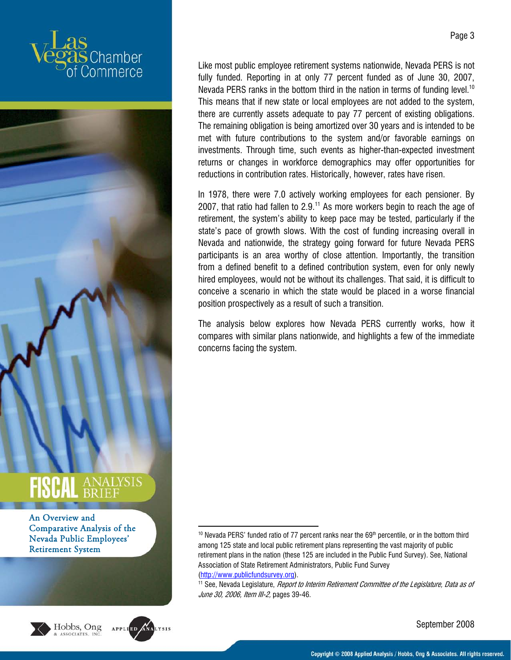







1

Like most public employee retirement systems nationwide, Nevada PERS is not fully funded. Reporting in at only 77 percent funded as of June 30, 2007, Nevada PERS ranks in the bottom third in the nation in terms of funding level.<sup>10</sup> This means that if new state or local employees are not added to the system, there are currently assets adequate to pay 77 percent of existing obligations. The remaining obligation is being amortized over 30 years and is intended to be met with future contributions to the system and/or favorable earnings on investments. Through time, such events as higher-than-expected investment returns or changes in workforce demographics may offer opportunities for reductions in contribution rates. Historically, however, rates have risen.

In 1978, there were 7.0 actively working employees for each pensioner. By 2007, that ratio had fallen to  $2.9<sup>11</sup>$  As more workers begin to reach the age of retirement, the system's ability to keep pace may be tested, particularly if the state's pace of growth slows. With the cost of funding increasing overall in Nevada and nationwide, the strategy going forward for future Nevada PERS participants is an area worthy of close attention. Importantly, the transition from a defined benefit to a defined contribution system, even for only newly hired employees, would not be without its challenges. That said, it is difficult to conceive a scenario in which the state would be placed in a worse financial position prospectively as a result of such a transition.

The analysis below explores how Nevada PERS currently works, how it compares with similar plans nationwide, and highlights a few of the immediate concerns facing the system.

 $10$  Nevada PERS' funded ratio of 77 percent ranks near the 69<sup>th</sup> percentile, or in the bottom third among 125 state and local public retirement plans representing the vast majority of public retirement plans in the nation (these 125 are included in the Public Fund Survey). See, National Association of State Retirement Administrators, Public Fund Survey

<sup>(</sup>http://www.publicfundsurvey.org).<br><sup>11</sup> See, Nevada Legislature, *Report to Interim Retirement Committee of the Legislature, Data as of* June 30, 2006, Item III-2, pages 39-46.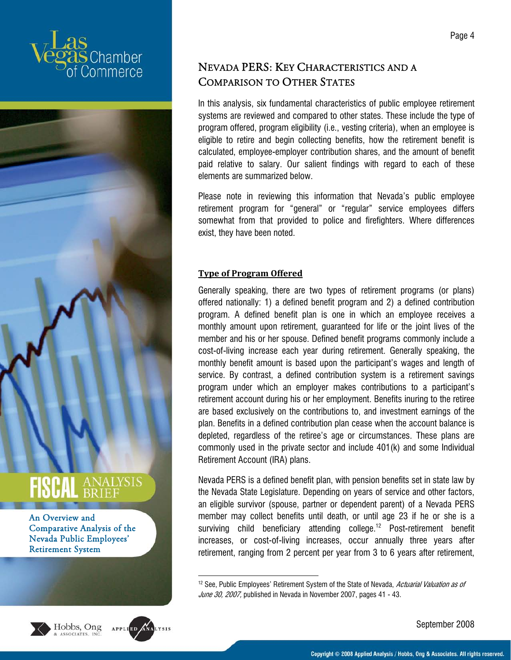







1

#### NEVADA PERS: KEY CHARACTERISTICS AND A COMPARISON TO OTHER STATES

In this analysis, six fundamental characteristics of public employee retirement systems are reviewed and compared to other states. These include the type of program offered, program eligibility (i.e., vesting criteria), when an employee is eligible to retire and begin collecting benefits, how the retirement benefit is calculated, employee-employer contribution shares, and the amount of benefit paid relative to salary. Our salient findings with regard to each of these elements are summarized below.

Please note in reviewing this information that Nevada's public employee retirement program for "general" or "regular" service employees differs somewhat from that provided to police and firefighters. Where differences exist, they have been noted.

#### **Type of Program Offered**

Generally speaking, there are two types of retirement programs (or plans) offered nationally: 1) a defined benefit program and 2) a defined contribution program. A defined benefit plan is one in which an employee receives a monthly amount upon retirement, guaranteed for life or the joint lives of the member and his or her spouse. Defined benefit programs commonly include a cost-of-living increase each year during retirement. Generally speaking, the monthly benefit amount is based upon the participant's wages and length of service. By contrast, a defined contribution system is a retirement savings program under which an employer makes contributions to a participant's retirement account during his or her employment. Benefits inuring to the retiree are based exclusively on the contributions to, and investment earnings of the plan. Benefits in a defined contribution plan cease when the account balance is depleted, regardless of the retiree's age or circumstances. These plans are commonly used in the private sector and include 401(k) and some Individual Retirement Account (IRA) plans.

Nevada PERS is a defined benefit plan, with pension benefits set in state law by the Nevada State Legislature. Depending on years of service and other factors, an eligible survivor (spouse, partner or dependent parent) of a Nevada PERS member may collect benefits until death, or until age 23 if he or she is a surviving child beneficiary attending college.<sup>12</sup> Post-retirement benefit increases, or cost-of-living increases, occur annually three years after retirement, ranging from 2 percent per year from 3 to 6 years after retirement,

 $12$  See, Public Employees' Retirement System of the State of Nevada, Actuarial Valuation as of June 30, 2007, published in Nevada in November 2007, pages 41 - 43.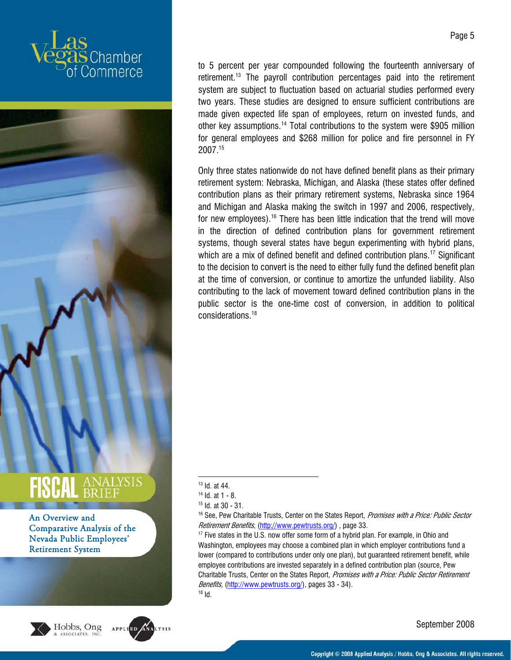



An Overview and Comparative Analysis of the Nevada Public Employees' Retirement System





to 5 percent per year compounded following the fourteenth anniversary of retirement.13 The payroll contribution percentages paid into the retirement system are subject to fluctuation based on actuarial studies performed every two years. These studies are designed to ensure sufficient contributions are made given expected life span of employees, return on invested funds, and other key assumptions.<sup>14</sup> Total contributions to the system were \$905 million for general employees and \$268 million for police and fire personnel in FY 2007.15

Only three states nationwide do not have defined benefit plans as their primary retirement system: Nebraska, Michigan, and Alaska (these states offer defined contribution plans as their primary retirement systems, Nebraska since 1964 and Michigan and Alaska making the switch in 1997 and 2006, respectively, for new employees).<sup>16</sup> There has been little indication that the trend will move in the direction of defined contribution plans for government retirement systems, though several states have begun experimenting with hybrid plans, which are a mix of defined benefit and defined contribution plans.<sup>17</sup> Significant to the decision to convert is the need to either fully fund the defined benefit plan at the time of conversion, or continue to amortize the unfunded liability. Also contributing to the lack of movement toward defined contribution plans in the public sector is the one-time cost of conversion, in addition to political considerations.18

<sup>1</sup> 13 Id. at 44.

 $14$  Id. at 1 - 8.

 $15$  Id. at 30 - 31.

<sup>&</sup>lt;sup>16</sup> See, Pew Charitable Trusts, Center on the States Report, Promises with a Price: Public Sector Retirement Benefits, (http://www.pewtrusts.org/), page 33.<br><sup>17</sup> Five states in the U.S. now offer some form of a hybrid plan. For example, in Ohio and

Washington, employees may choose a combined plan in which employer contributions fund a lower (compared to contributions under only one plan), but guaranteed retirement benefit, while employee contributions are invested separately in a defined contribution plan (source, Pew Charitable Trusts, Center on the States Report, Promises with a Price: Public Sector Retirement Benefits, (http://www.pewtrusts.org/), pages 33 - 34).<br><sup>18</sup> Id.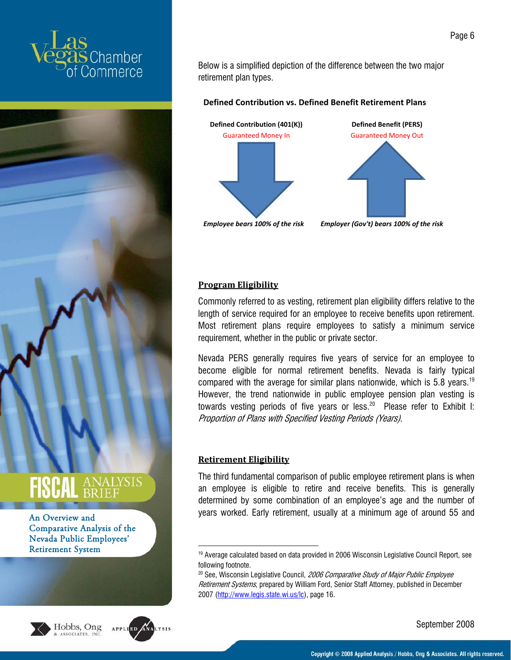



An Overview and Comparative Analysis of the Nevada Public Employees' Retirement System





Below is a simplified depiction of the difference between the two major retirement plan types.

#### **Defined Contribution vs. Defined Benefit Retirement Plans**



#### **Program Eligibility**

Commonly referred to as vesting, retirement plan eligibility differs relative to the length of service required for an employee to receive benefits upon retirement. Most retirement plans require employees to satisfy a minimum service requirement, whether in the public or private sector.

Nevada PERS generally requires five years of service for an employee to become eligible for normal retirement benefits. Nevada is fairly typical compared with the average for similar plans nationwide, which is 5.8 years.<sup>19</sup> However, the trend nationwide in public employee pension plan vesting is towards vesting periods of five years or less.<sup>20</sup> Please refer to Exhibit I: Proportion of Plans with Specified Vesting Periods (Years).

#### **Retirement Eligibility**

1

The third fundamental comparison of public employee retirement plans is when an employee is eligible to retire and receive benefits. This is generally determined by some combination of an employee's age and the number of years worked. Early retirement, usually at a minimum age of around 55 and

<sup>&</sup>lt;sup>19</sup> Average calculated based on data provided in 2006 Wisconsin Legislative Council Report, see following footnote.

<sup>&</sup>lt;sup>20</sup> See, Wisconsin Legislative Council, 2006 Comparative Study of Major Public Employee Retirement Systems, prepared by William Ford, Senior Staff Attorney, published in December 2007 (http://www.legis.state.wi.us/lc), page 16.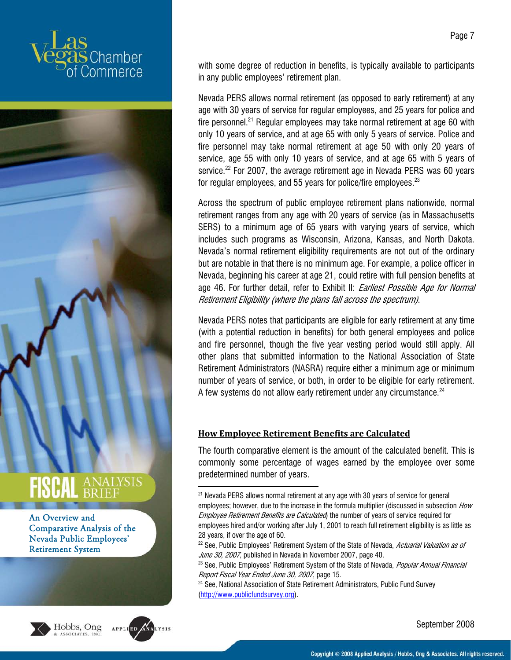



An Overview and Comparative Analysis of the Nevada Public Employees' Retirement System





.

with some degree of reduction in benefits, is typically available to participants in any public employees' retirement plan.

Nevada PERS allows normal retirement (as opposed to early retirement) at any age with 30 years of service for regular employees, and 25 years for police and fire personnel.<sup>21</sup> Regular employees may take normal retirement at age 60 with only 10 years of service, and at age 65 with only 5 years of service. Police and fire personnel may take normal retirement at age 50 with only 20 years of service, age 55 with only 10 years of service, and at age 65 with 5 years of service.<sup>22</sup> For 2007, the average retirement age in Nevada PERS was 60 years for regular employees, and 55 years for police/fire employees.<sup>23</sup>

Across the spectrum of public employee retirement plans nationwide, normal retirement ranges from any age with 20 years of service (as in Massachusetts SERS) to a minimum age of 65 years with varying years of service, which includes such programs as Wisconsin, Arizona, Kansas, and North Dakota. Nevada's normal retirement eligibility requirements are not out of the ordinary but are notable in that there is no minimum age. For example, a police officer in Nevada, beginning his career at age 21, could retire with full pension benefits at age 46. For further detail, refer to Exhibit II: *Earliest Possible Age for Normal* Retirement Eligibility (where the plans fall across the spectrum).

Nevada PERS notes that participants are eligible for early retirement at any time (with a potential reduction in benefits) for both general employees and police and fire personnel, though the five year vesting period would still apply. All other plans that submitted information to the National Association of State Retirement Administrators (NASRA) require either a minimum age or minimum number of years of service, or both, in order to be eligible for early retirement. A few systems do not allow early retirement under any circumstance.<sup>24</sup>

#### **How Employee Retirement Benefits are Calculated**

The fourth comparative element is the amount of the calculated benefit. This is commonly some percentage of wages earned by the employee over some predetermined number of years.

(http://www.publicfundsurvey.org).

<sup>&</sup>lt;sup>21</sup> Nevada PERS allows normal retirement at any age with 30 years of service for general employees; however, due to the increase in the formula multiplier (discussed in subsection How Employee Retirement Benefits are Calculated the number of years of service required for employees hired and/or working after July 1, 2001 to reach full retirement eligibility is as little as 28 years, if over the age of 60.

<sup>&</sup>lt;sup>22</sup> See, Public Employees' Retirement System of the State of Nevada, Actuarial Valuation as of June 30, 2007, published in Nevada in November 2007, page 40.<br><sup>23</sup> See, Public Employees' Retirement System of the State of Nevada, *Popular Annual Financial* 

Report Fiscal Year Ended June 30, 2007, page 15.<br><sup>24</sup> See, National Association of State Retirement Administrators, Public Fund Survey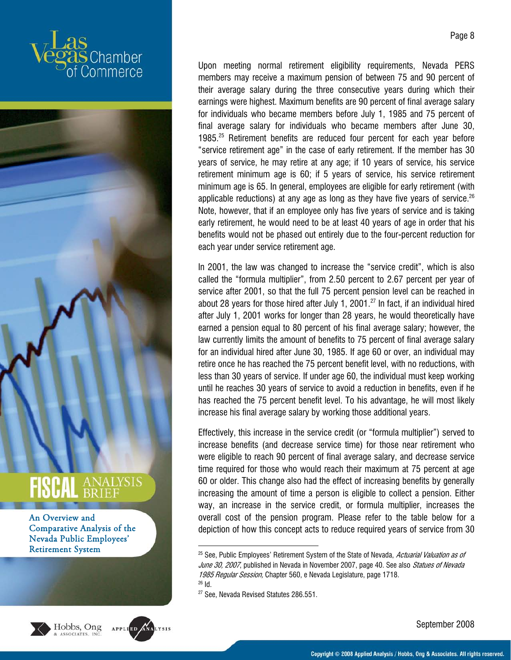



Upon meeting normal retirement eligibility requirements, Nevada PERS members may receive a maximum pension of between 75 and 90 percent of their average salary during the three consecutive years during which their earnings were highest. Maximum benefits are 90 percent of final average salary for individuals who became members before July 1, 1985 and 75 percent of final average salary for individuals who became members after June 30, 1985.25 Retirement benefits are reduced four percent for each year before "service retirement age" in the case of early retirement. If the member has 30 years of service, he may retire at any age; if 10 years of service, his service retirement minimum age is 60; if 5 years of service, his service retirement minimum age is 65. In general, employees are eligible for early retirement (with applicable reductions) at any age as long as they have five years of service.<sup>26</sup> Note, however, that if an employee only has five years of service and is taking early retirement, he would need to be at least 40 years of age in order that his benefits would not be phased out entirely due to the four-percent reduction for each year under service retirement age.

In 2001, the law was changed to increase the "service credit", which is also called the "formula multiplier", from 2.50 percent to 2.67 percent per year of service after 2001, so that the full 75 percent pension level can be reached in about 28 years for those hired after July 1, 2001. $^{27}$  In fact, if an individual hired after July 1, 2001 works for longer than 28 years, he would theoretically have earned a pension equal to 80 percent of his final average salary; however, the law currently limits the amount of benefits to 75 percent of final average salary for an individual hired after June 30, 1985. If age 60 or over, an individual may retire once he has reached the 75 percent benefit level, with no reductions, with less than 30 years of service. If under age 60, the individual must keep working until he reaches 30 years of service to avoid a reduction in benefits, even if he has reached the 75 percent benefit level. To his advantage, he will most likely increase his final average salary by working those additional years.

Effectively, this increase in the service credit (or "formula multiplier") served to increase benefits (and decrease service time) for those near retirement who were eligible to reach 90 percent of final average salary, and decrease service time required for those who would reach their maximum at 75 percent at age 60 or older. This change also had the effect of increasing benefits by generally increasing the amount of time a person is eligible to collect a pension. Either way, an increase in the service credit, or formula multiplier, increases the overall cost of the pension program. Please refer to the table below for a depiction of how this concept acts to reduce required years of service from 30





<sup>1</sup> <sup>25</sup> See, Public Employees' Retirement System of the State of Nevada, *Actuarial Valuation as of* June 30, 2007, published in Nevada in November 2007, page 40. See also Statues of Nevada 1985 Regular Session, Chapter 560, e Nevada Legislature, page 1718.<br><sup>26</sup> Id

<sup>&</sup>lt;sup>27</sup> See, Nevada Revised Statutes 286.551.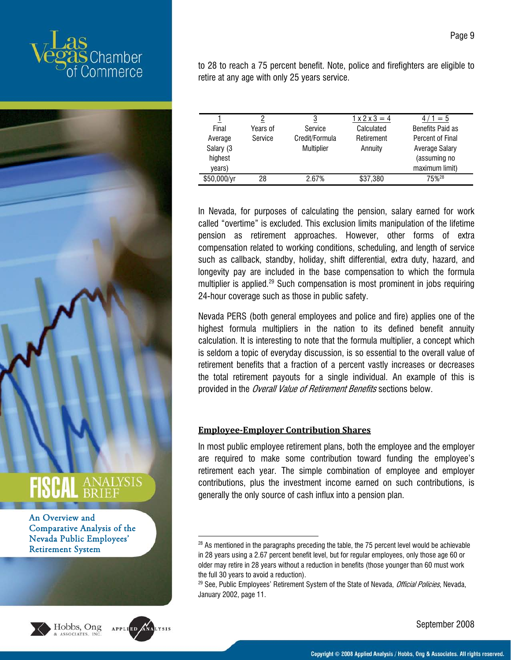





.

to 28 to reach a 75 percent benefit. Note, police and firefighters are eligible to retire at any age with only 25 years service.

|             |          | 3              | $1 \times 2 \times 3 = 4$ | $/1 = 5$                |
|-------------|----------|----------------|---------------------------|-------------------------|
| Final       | Years of | Service        | Calculated                | <b>Benefits Paid as</b> |
| Average     | Service  | Credit/Formula | Retirement                | Percent of Final        |
| Salary (3   |          | Multiplier     | Annuity                   | Average Salary          |
| highest     |          |                |                           | (assuming no            |
| years)      |          |                |                           | maximum limit)          |
| \$50,000/yr | 28       | 2.67%          | \$37,380                  | 75% <sup>28</sup>       |

In Nevada, for purposes of calculating the pension, salary earned for work called "overtime" is excluded. This exclusion limits manipulation of the lifetime pension as retirement approaches. However, other forms of extra compensation related to working conditions, scheduling, and length of service such as callback, standby, holiday, shift differential, extra duty, hazard, and longevity pay are included in the base compensation to which the formula multiplier is applied.<sup>29</sup> Such compensation is most prominent in jobs requiring 24-hour coverage such as those in public safety.

Nevada PERS (both general employees and police and fire) applies one of the highest formula multipliers in the nation to its defined benefit annuity calculation. It is interesting to note that the formula multiplier, a concept which is seldom a topic of everyday discussion, is so essential to the overall value of retirement benefits that a fraction of a percent vastly increases or decreases the total retirement payouts for a single individual. An example of this is provided in the *Overall Value of Retirement Benefits* sections below.

#### **EmployeeEmployer Contribution Shares**

In most public employee retirement plans, both the employee and the employer are required to make some contribution toward funding the employee's retirement each year. The simple combination of employee and employer contributions, plus the investment income earned on such contributions, is generally the only source of cash influx into a pension plan.

<sup>&</sup>lt;sup>28</sup> As mentioned in the paragraphs preceding the table, the 75 percent level would be achievable in 28 years using a 2.67 percent benefit level, but for regular employees, only those age 60 or older may retire in 28 years without a reduction in benefits (those younger than 60 must work the full 30 years to avoid a reduction).

<sup>&</sup>lt;sup>29</sup> See, Public Employees' Retirement System of the State of Nevada, *Official Policies*, Nevada, January 2002, page 11.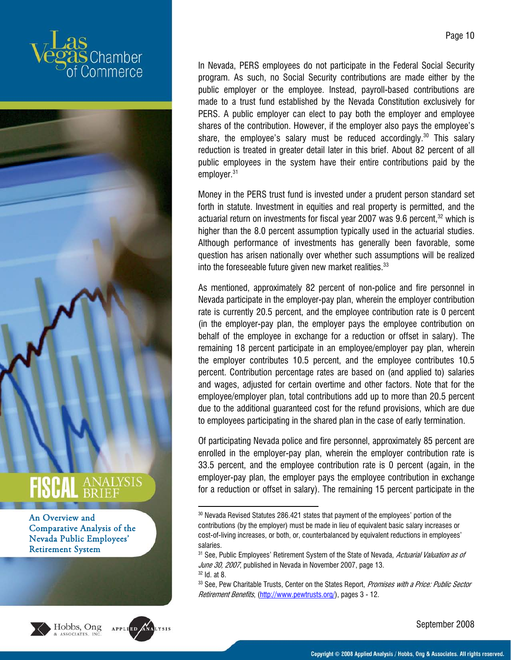







In Nevada, PERS employees do not participate in the Federal Social Security program. As such, no Social Security contributions are made either by the public employer or the employee. Instead, payroll-based contributions are made to a trust fund established by the Nevada Constitution exclusively for PERS. A public employer can elect to pay both the employer and employee shares of the contribution. However, if the employer also pays the employee's share, the employee's salary must be reduced accordingly.<sup>30</sup> This salary reduction is treated in greater detail later in this brief. About 82 percent of all public employees in the system have their entire contributions paid by the employer.<sup>31</sup>

Money in the PERS trust fund is invested under a prudent person standard set forth in statute. Investment in equities and real property is permitted, and the actuarial return on investments for fiscal year 2007 was 9.6 percent, $32$  which is higher than the 8.0 percent assumption typically used in the actuarial studies. Although performance of investments has generally been favorable, some question has arisen nationally over whether such assumptions will be realized into the foreseeable future given new market realities. $33$ 

As mentioned, approximately 82 percent of non-police and fire personnel in Nevada participate in the employer-pay plan, wherein the employer contribution rate is currently 20.5 percent, and the employee contribution rate is 0 percent (in the employer-pay plan, the employer pays the employee contribution on behalf of the employee in exchange for a reduction or offset in salary). The remaining 18 percent participate in an employee/employer pay plan, wherein the employer contributes 10.5 percent, and the employee contributes 10.5 percent. Contribution percentage rates are based on (and applied to) salaries and wages, adjusted for certain overtime and other factors. Note that for the employee/employer plan, total contributions add up to more than 20.5 percent due to the additional guaranteed cost for the refund provisions, which are due to employees participating in the shared plan in the case of early termination.

Of participating Nevada police and fire personnel, approximately 85 percent are enrolled in the employer-pay plan, wherein the employer contribution rate is 33.5 percent, and the employee contribution rate is 0 percent (again, in the employer-pay plan, the employer pays the employee contribution in exchange for a reduction or offset in salary). The remaining 15 percent participate in the

<sup>.</sup> <sup>30</sup> Nevada Revised Statutes 286.421 states that payment of the employees' portion of the contributions (by the employer) must be made in lieu of equivalent basic salary increases or cost-of-living increases, or both, or, counterbalanced by equivalent reductions in employees' salaries.

<sup>&</sup>lt;sup>31</sup> See, Public Employees' Retirement System of the State of Nevada, Actuarial Valuation as of June 30, 2007, published in Nevada in November 2007, page 13.  $32$  Id. at 8.

<sup>&</sup>lt;sup>33</sup> See, Pew Charitable Trusts, Center on the States Report, Promises with a Price: Public Sector Retirement Benefits, (http://www.pewtrusts.org/), pages 3 - 12.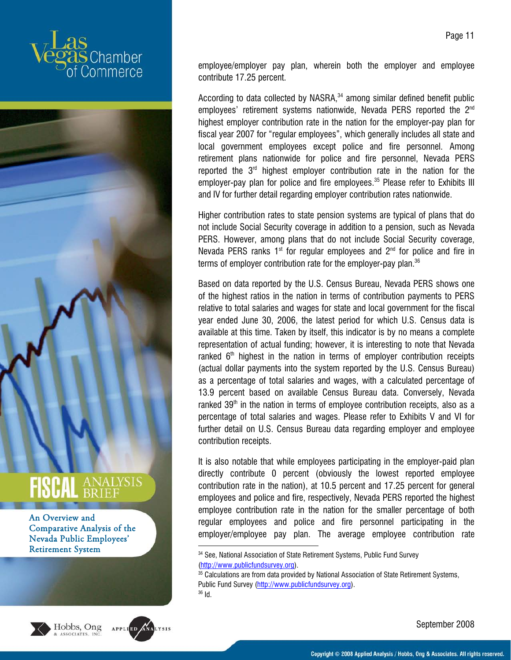





1

employee/employer pay plan, wherein both the employer and employee contribute 17.25 percent.

According to data collected by NASRA, $34$  among similar defined benefit public employees' retirement systems nationwide, Nevada PERS reported the 2<sup>nd</sup> highest employer contribution rate in the nation for the employer-pay plan for fiscal year 2007 for "regular employees", which generally includes all state and local government employees except police and fire personnel. Among retirement plans nationwide for police and fire personnel, Nevada PERS reported the 3rd highest employer contribution rate in the nation for the employer-pay plan for police and fire employees.<sup>35</sup> Please refer to Exhibits III and IV for further detail regarding employer contribution rates nationwide.

Higher contribution rates to state pension systems are typical of plans that do not include Social Security coverage in addition to a pension, such as Nevada PERS. However, among plans that do not include Social Security coverage, Nevada PERS ranks  $1<sup>st</sup>$  for regular employees and  $2<sup>nd</sup>$  for police and fire in terms of employer contribution rate for the employer-pay plan.<sup>36</sup>

Based on data reported by the U.S. Census Bureau, Nevada PERS shows one of the highest ratios in the nation in terms of contribution payments to PERS relative to total salaries and wages for state and local government for the fiscal year ended June 30, 2006, the latest period for which U.S. Census data is available at this time. Taken by itself, this indicator is by no means a complete representation of actual funding; however, it is interesting to note that Nevada ranked  $6<sup>th</sup>$  highest in the nation in terms of employer contribution receipts (actual dollar payments into the system reported by the U.S. Census Bureau) as a percentage of total salaries and wages, with a calculated percentage of 13.9 percent based on available Census Bureau data. Conversely, Nevada ranked  $39<sup>th</sup>$  in the nation in terms of employee contribution receipts, also as a percentage of total salaries and wages. Please refer to Exhibits V and VI for further detail on U.S. Census Bureau data regarding employer and employee contribution receipts.

It is also notable that while employees participating in the employer-paid plan directly contribute 0 percent (obviously the lowest reported employee contribution rate in the nation), at 10.5 percent and 17.25 percent for general employees and police and fire, respectively, Nevada PERS reported the highest employee contribution rate in the nation for the smaller percentage of both regular employees and police and fire personnel participating in the employer/employee pay plan. The average employee contribution rate

<sup>34</sup> See, National Association of State Retirement Systems, Public Fund Survey (http://www.publicfundsurvey.org).<br><sup>35</sup> Calculations are from data provided by National Association of State Retirement Systems,

Public Fund Survey (http://www.publicfundsurvey.org).<br><sup>36</sup> Id.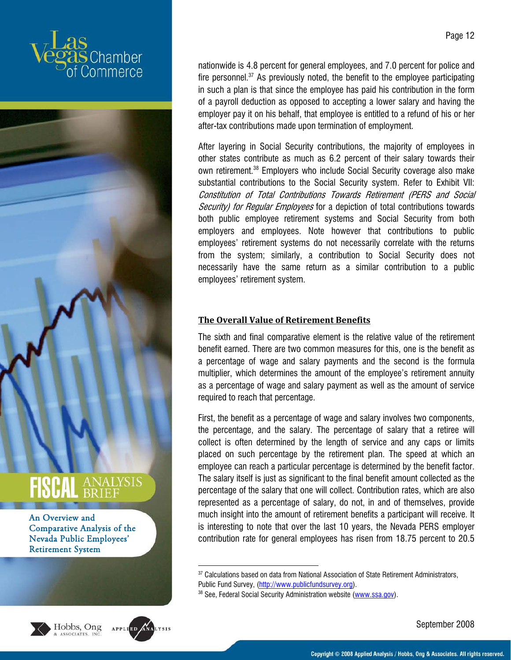







.

nationwide is 4.8 percent for general employees, and 7.0 percent for police and fire personnel. $37$  As previously noted, the benefit to the employee participating in such a plan is that since the employee has paid his contribution in the form of a payroll deduction as opposed to accepting a lower salary and having the employer pay it on his behalf, that employee is entitled to a refund of his or her after-tax contributions made upon termination of employment.

After layering in Social Security contributions, the majority of employees in other states contribute as much as 6.2 percent of their salary towards their own retirement.38 Employers who include Social Security coverage also make substantial contributions to the Social Security system. Refer to Exhibit VII: Constitution of Total Contributions Towards Retirement (PERS and Social Security) for Regular Employees for a depiction of total contributions towards both public employee retirement systems and Social Security from both employers and employees. Note however that contributions to public employees' retirement systems do not necessarily correlate with the returns from the system; similarly, a contribution to Social Security does not necessarily have the same return as a similar contribution to a public employees' retirement system.

#### **The Overall Value of Retirement Benefits**

The sixth and final comparative element is the relative value of the retirement benefit earned. There are two common measures for this, one is the benefit as a percentage of wage and salary payments and the second is the formula multiplier, which determines the amount of the employee's retirement annuity as a percentage of wage and salary payment as well as the amount of service required to reach that percentage.

First, the benefit as a percentage of wage and salary involves two components, the percentage, and the salary. The percentage of salary that a retiree will collect is often determined by the length of service and any caps or limits placed on such percentage by the retirement plan. The speed at which an employee can reach a particular percentage is determined by the benefit factor. The salary itself is just as significant to the final benefit amount collected as the percentage of the salary that one will collect. Contribution rates, which are also represented as a percentage of salary, do not, in and of themselves, provide much insight into the amount of retirement benefits a participant will receive. It is interesting to note that over the last 10 years, the Nevada PERS employer contribution rate for general employees has risen from 18.75 percent to 20.5

<sup>&</sup>lt;sup>37</sup> Calculations based on data from National Association of State Retirement Administrators, Public Fund Survey, (http://www.publicfundsurvey.org).<br><sup>38</sup> See, Federal Social Security Administration website (www.ssa.gov).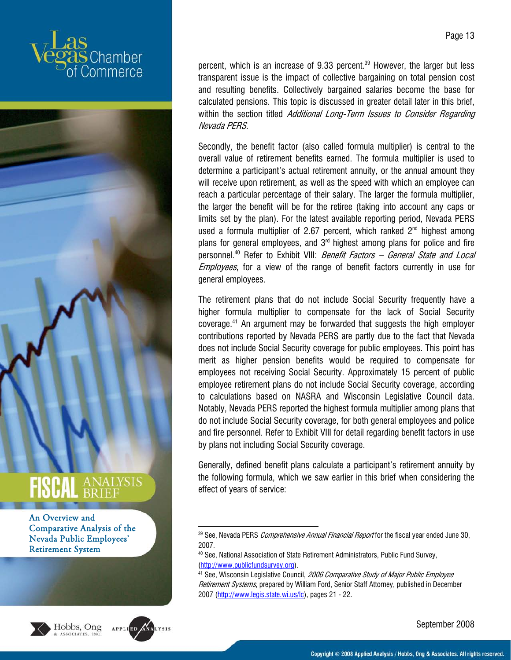





percent, which is an increase of 9.33 percent.<sup>39</sup> However, the larger but less transparent issue is the impact of collective bargaining on total pension cost and resulting benefits. Collectively bargained salaries become the base for calculated pensions. This topic is discussed in greater detail later in this brief, within the section titled Additional Long-Term Issues to Consider Regarding Nevada PERS.

Secondly, the benefit factor (also called formula multiplier) is central to the overall value of retirement benefits earned. The formula multiplier is used to determine a participant's actual retirement annuity, or the annual amount they will receive upon retirement, as well as the speed with which an employee can reach a particular percentage of their salary. The larger the formula multiplier, the larger the benefit will be for the retiree (taking into account any caps or limits set by the plan). For the latest available reporting period, Nevada PERS used a formula multiplier of 2.67 percent, which ranked  $2<sup>nd</sup>$  highest among plans for general employees, and  $3<sup>rd</sup>$  highest among plans for police and fire personnel.<sup>40</sup> Refer to Exhibit VIII: Benefit Factors - General State and Local Employees, for a view of the range of benefit factors currently in use for general employees.

The retirement plans that do not include Social Security frequently have a higher formula multiplier to compensate for the lack of Social Security coverage.41 An argument may be forwarded that suggests the high employer contributions reported by Nevada PERS are partly due to the fact that Nevada does not include Social Security coverage for public employees. This point has merit as higher pension benefits would be required to compensate for employees not receiving Social Security. Approximately 15 percent of public employee retirement plans do not include Social Security coverage, according to calculations based on NASRA and Wisconsin Legislative Council data. Notably, Nevada PERS reported the highest formula multiplier among plans that do not include Social Security coverage, for both general employees and police and fire personnel. Refer to Exhibit VIII for detail regarding benefit factors in use by plans not including Social Security coverage.

Generally, defined benefit plans calculate a participant's retirement annuity by the following formula, which we saw earlier in this brief when considering the effect of years of service:

<sup>1</sup> <sup>39</sup> See, Nevada PERS *Comprehensive Annual Financial Report* for the fiscal year ended June 30, 2007.

<sup>40</sup> See, National Association of State Retirement Administrators, Public Fund Survey, (http://www.publicfundsurvey.org).<br><sup>41</sup> See, Wisconsin Legislative Council, *2006 Comparative Study of Major Public Employee* 

Retirement Systems, prepared by William Ford, Senior Staff Attorney, published in December 2007 (http://www.legis.state.wi.us/lc), pages 21 - 22.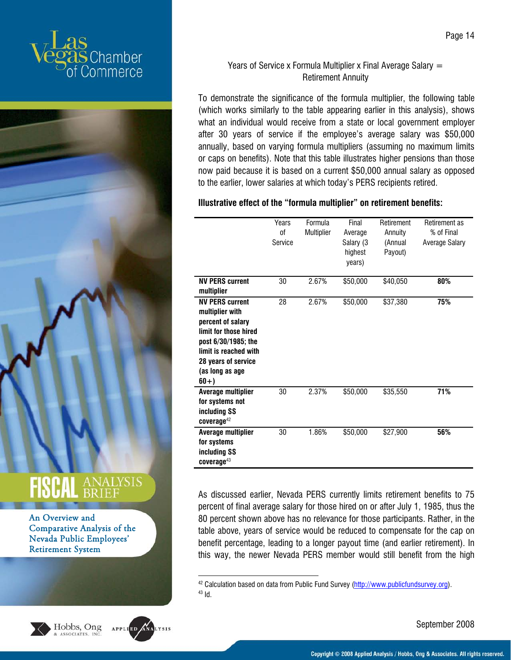



## ANALYSIS

#### An Overview and Comparative Analysis of the Nevada Public Employees' Retirement System



Hobbs, Ong

1

#### Years of Service x Formula Multiplier x Final Average Salary  $=$ Retirement Annuity

To demonstrate the significance of the formula multiplier, the following table (which works similarly to the table appearing earlier in this analysis), shows what an individual would receive from a state or local government employer after 30 years of service if the employee's average salary was \$50,000 annually, based on varying formula multipliers (assuming no maximum limits or caps on benefits). Note that this table illustrates higher pensions than those now paid because it is based on a current \$50,000 annual salary as opposed to the earlier, lower salaries at which today's PERS recipients retired.

#### **Illustrative effect of the "formula multiplier" on retirement benefits:**

|                                                                                                                                                                                            | Years<br>0f<br>Service | Formula<br>Multiplier | Final<br>Average<br>Salary (3<br>highest<br>years) | Retirement<br>Annuity<br>(Annual<br>Payout) | Retirement as<br>% of Final<br><b>Average Salary</b> |
|--------------------------------------------------------------------------------------------------------------------------------------------------------------------------------------------|------------------------|-----------------------|----------------------------------------------------|---------------------------------------------|------------------------------------------------------|
| <b>NV PERS current</b><br>multiplier                                                                                                                                                       | 30                     | 2.67%                 | \$50,000                                           | \$40,050                                    | 80%                                                  |
| <b>NV PERS current</b><br>multiplier with<br>percent of salary<br>limit for those hired<br>post 6/30/1985; the<br>limit is reached with<br>28 years of service<br>(as long as age<br>$60+$ | 28                     | 2.67%                 | \$50,000                                           | \$37,380                                    | 75%                                                  |
| Average multiplier<br>for systems not<br>including SS<br>$coverage^{42}$                                                                                                                   | 30                     | 2.37%                 | \$50,000                                           | \$35,550                                    | 71%                                                  |
| Average multiplier<br>for systems<br>including SS<br>$coverage^{43}$                                                                                                                       | 30                     | 1.86%                 | \$50,000                                           | \$27,900                                    | 56%                                                  |

As discussed earlier, Nevada PERS currently limits retirement benefits to 75 percent of final average salary for those hired on or after July 1, 1985, thus the 80 percent shown above has no relevance for those participants. Rather, in the table above, years of service would be reduced to compensate for the cap on benefit percentage, leading to a longer payout time (and earlier retirement). In this way, the newer Nevada PERS member would still benefit from the high

<sup>&</sup>lt;sup>42</sup> Calculation based on data from Public Fund Survey ( $\frac{http://www.publicfundsurvey.org)}{43}$  Id.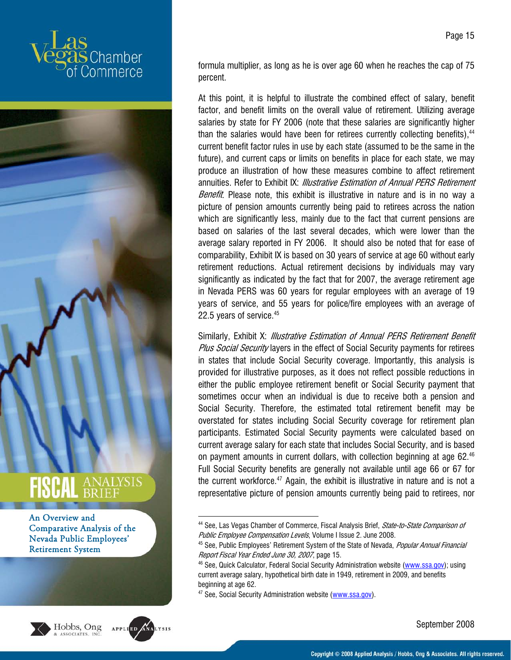







formula multiplier, as long as he is over age 60 when he reaches the cap of 75 percent.

At this point, it is helpful to illustrate the combined effect of salary, benefit factor, and benefit limits on the overall value of retirement. Utilizing average salaries by state for FY 2006 (note that these salaries are significantly higher than the salaries would have been for retirees currently collecting benefits).  $44$ current benefit factor rules in use by each state (assumed to be the same in the future), and current caps or limits on benefits in place for each state, we may produce an illustration of how these measures combine to affect retirement annuities. Refer to Exhibit IX: *Illustrative Estimation of Annual PERS Retirement* Benefit. Please note, this exhibit is illustrative in nature and is in no way a picture of pension amounts currently being paid to retirees across the nation which are significantly less, mainly due to the fact that current pensions are based on salaries of the last several decades, which were lower than the average salary reported in FY 2006. It should also be noted that for ease of comparability, Exhibit IX is based on 30 years of service at age 60 without early retirement reductions. Actual retirement decisions by individuals may vary significantly as indicated by the fact that for 2007, the average retirement age in Nevada PERS was 60 years for regular employees with an average of 19 years of service, and 55 years for police/fire employees with an average of 22.5 years of service.<sup>45</sup>

Similarly, Exhibit X: Illustrative Estimation of Annual PERS Retirement Benefit Plus Social Security layers in the effect of Social Security payments for retirees in states that include Social Security coverage. Importantly, this analysis is provided for illustrative purposes, as it does not reflect possible reductions in either the public employee retirement benefit or Social Security payment that sometimes occur when an individual is due to receive both a pension and Social Security. Therefore, the estimated total retirement benefit may be overstated for states including Social Security coverage for retirement plan participants. Estimated Social Security payments were calculated based on current average salary for each state that includes Social Security, and is based on payment amounts in current dollars, with collection beginning at age 62.<sup>46</sup> Full Social Security benefits are generally not available until age 66 or 67 for the current workforce.<sup>47</sup> Again, the exhibit is illustrative in nature and is not a representative picture of pension amounts currently being paid to retirees, nor

.

Page 15

<sup>&</sup>lt;sup>44</sup> See, Las Vegas Chamber of Commerce, Fiscal Analysis Brief, *State-to-State Comparison of* Public Employee Compensation Levels, Volume I Issue 2. June 2008.<br><sup>45</sup> See, Public Employees' Retirement System of the State of Nevada, Popular Annual Financial

Report Fiscal Year Ended June 30, 2007, page 15.<br><sup>46</sup> See, Quick Calculator, Federal Social Security Administration website (www.ssa.gov); using

current average salary, hypothetical birth date in 1949, retirement in 2009, and benefits beginning at age 62.

<sup>&</sup>lt;sup>47</sup> See, Social Security Administration website (www.ssa.gov).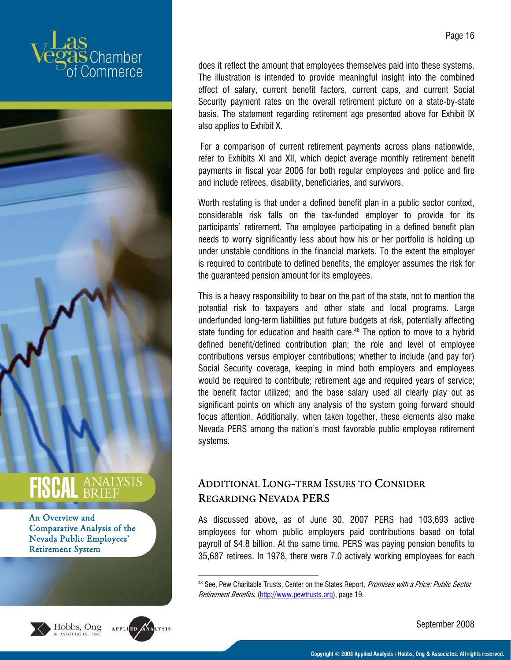



**SCAL ANALYSIS** An Overview and

Comparative Analysis of the Nevada Public Employees' Retirement System





1

Page 16

does it reflect the amount that employees themselves paid into these systems. The illustration is intended to provide meaningful insight into the combined effect of salary, current benefit factors, current caps, and current Social Security payment rates on the overall retirement picture on a state-by-state basis. The statement regarding retirement age presented above for Exhibit IX also applies to Exhibit X.

 For a comparison of current retirement payments across plans nationwide, refer to Exhibits XI and XII, which depict average monthly retirement benefit payments in fiscal year 2006 for both regular employees and police and fire and include retirees, disability, beneficiaries, and survivors.

Worth restating is that under a defined benefit plan in a public sector context, considerable risk falls on the tax-funded employer to provide for its participants' retirement. The employee participating in a defined benefit plan needs to worry significantly less about how his or her portfolio is holding up under unstable conditions in the financial markets. To the extent the employer is required to contribute to defined benefits, the employer assumes the risk for the guaranteed pension amount for its employees.

This is a heavy responsibility to bear on the part of the state, not to mention the potential risk to taxpayers and other state and local programs. Large underfunded long-term liabilities put future budgets at risk, potentially affecting state funding for education and health care.<sup>48</sup> The option to move to a hybrid defined benefit/defined contribution plan; the role and level of employee contributions versus employer contributions; whether to include (and pay for) Social Security coverage, keeping in mind both employers and employees would be required to contribute; retirement age and required years of service; the benefit factor utilized; and the base salary used all clearly play out as significant points on which any analysis of the system going forward should focus attention. Additionally, when taken together, these elements also make Nevada PERS among the nation's most favorable public employee retirement systems.

#### ADDITIONAL LONG-TERM ISSUES TO CONSIDER REGARDING NEVADA PERS

As discussed above, as of June 30, 2007 PERS had 103,693 active employees for whom public employers paid contributions based on total payroll of \$4.8 billion. At the same time, PERS was paying pension benefits to 35,687 retirees. In 1978, there were 7.0 actively working employees for each

<sup>&</sup>lt;sup>48</sup> See, Pew Charitable Trusts, Center on the States Report, Promises with a Price: Public Sector Retirement Benefits, (http://www.pewtrusts.org), page 19.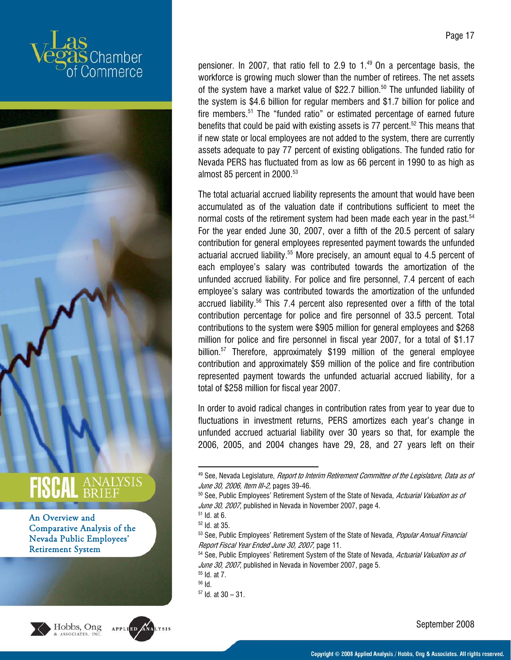







pensioner. In 2007, that ratio fell to 2.9 to  $1<sup>49</sup>$  On a percentage basis, the workforce is growing much slower than the number of retirees. The net assets of the system have a market value of \$22.7 billion.<sup>50</sup> The unfunded liability of the system is \$4.6 billion for regular members and \$1.7 billion for police and fire members.<sup>51</sup> The "funded ratio" or estimated percentage of earned future benefits that could be paid with existing assets is  $77$  percent.<sup>52</sup> This means that if new state or local employees are not added to the system, there are currently assets adequate to pay 77 percent of existing obligations. The funded ratio for Nevada PERS has fluctuated from as low as 66 percent in 1990 to as high as almost 85 percent in 2000.<sup>53</sup>

The total actuarial accrued liability represents the amount that would have been accumulated as of the valuation date if contributions sufficient to meet the normal costs of the retirement system had been made each year in the past.<sup>54</sup> For the year ended June 30, 2007, over a fifth of the 20.5 percent of salary contribution for general employees represented payment towards the unfunded actuarial accrued liability.<sup>55</sup> More precisely, an amount equal to 4.5 percent of each employee's salary was contributed towards the amortization of the unfunded accrued liability. For police and fire personnel, 7.4 percent of each employee's salary was contributed towards the amortization of the unfunded accrued liability.56 This 7.4 percent also represented over a fifth of the total contribution percentage for police and fire personnel of 33.5 percent. Total contributions to the system were \$905 million for general employees and \$268 million for police and fire personnel in fiscal year 2007, for a total of \$1.17 billion.<sup>57</sup> Therefore, approximately \$199 million of the general employee contribution and approximately \$59 million of the police and fire contribution represented payment towards the unfunded actuarial accrued liability, for a total of \$258 million for fiscal year 2007.

In order to avoid radical changes in contribution rates from year to year due to fluctuations in investment returns, PERS amortizes each year's change in unfunded accrued actuarial liability over 30 years so that, for example the 2006, 2005, and 2004 changes have 29, 28, and 27 years left on their

1

52 Id. at 35.

 $49$  See, Nevada Legislature, *Report to Interim Retirement Committee of the Legislature, Data as of* June 30, 2006, Item III-2, pages 39-46.<br><sup>50</sup> See, Public Employees' Retirement System of the State of Nevada, *Actuarial Valuation as of* 

June 30, 2007, published in Nevada in November 2007, page 4.  $51$  Id. at 6.

<sup>53</sup> See, Public Employees' Retirement System of the State of Nevada, Popular Annual Financial Report Fiscal Year Ended June 30, 2007, page 11.<br><sup>54</sup> See, Public Employees' Retirement System of the State of Nevada, *Actuarial Valuation as of* 

June 30, 2007, published in Nevada in November 2007, page 5.<br><sup>55</sup> Id. at 7.

<sup>56</sup> Id.

 $57$  Id. at  $30 - 31$ .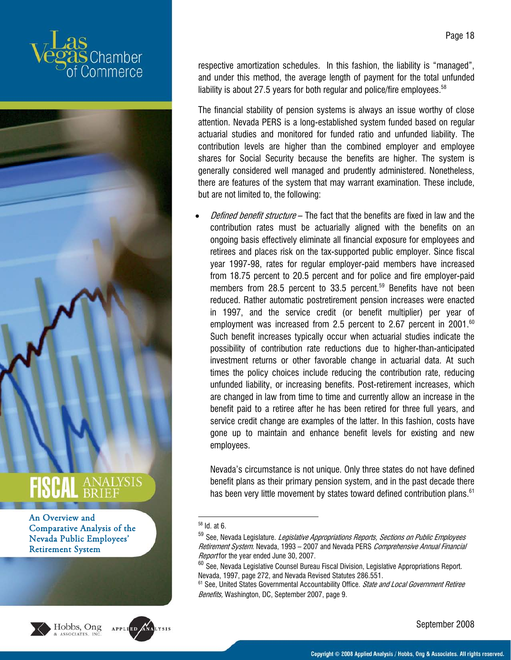



An Overview and Comparative Analysis of the Nevada Public Employees' Retirement System



Hobbs, Ong ASSOCIATES, IN

respective amortization schedules. In this fashion, the liability is "managed", and under this method, the average length of payment for the total unfunded liability is about 27.5 years for both regular and police/fire employees.  $58$ 

The financial stability of pension systems is always an issue worthy of close attention. Nevada PERS is a long-established system funded based on regular actuarial studies and monitored for funded ratio and unfunded liability. The contribution levels are higher than the combined employer and employee shares for Social Security because the benefits are higher. The system is generally considered well managed and prudently administered. Nonetheless, there are features of the system that may warrant examination. These include, but are not limited to, the following:

Defined benefit structure – The fact that the benefits are fixed in law and the contribution rates must be actuarially aligned with the benefits on an ongoing basis effectively eliminate all financial exposure for employees and retirees and places risk on the tax-supported public employer. Since fiscal year 1997-98, rates for regular employer-paid members have increased from 18.75 percent to 20.5 percent and for police and fire employer-paid members from 28.5 percent to 33.5 percent.<sup>59</sup> Benefits have not been reduced. Rather automatic postretirement pension increases were enacted in 1997, and the service credit (or benefit multiplier) per year of employment was increased from 2.5 percent to 2.67 percent in 2001. $^{60}$ Such benefit increases typically occur when actuarial studies indicate the possibility of contribution rate reductions due to higher-than-anticipated investment returns or other favorable change in actuarial data. At such times the policy choices include reducing the contribution rate, reducing unfunded liability, or increasing benefits. Post-retirement increases, which are changed in law from time to time and currently allow an increase in the benefit paid to a retiree after he has been retired for three full years, and service credit change are examples of the latter. In this fashion, costs have gone up to maintain and enhance benefit levels for existing and new employees.

Nevada's circumstance is not unique. Only three states do not have defined benefit plans as their primary pension system, and in the past decade there has been very little movement by states toward defined contribution plans.<sup>61</sup>

1

<sup>&</sup>lt;sup>58</sup> Id. at 6.

<sup>&</sup>lt;sup>59</sup> See, Nevada Legislature. *Legislative Appropriations Reports, Sections on Public Employees* Retirement System. Nevada, 1993 - 2007 and Nevada PERS Comprehensive Annual Financial Report for the year ended June 30, 2007.

 $60$  See, Nevada Legislative Counsel Bureau Fiscal Division, Legislative Appropriations Report. Nevada, 1997, page 272, and Nevada Revised Statutes 286.551.

<sup>&</sup>lt;sup>61</sup> See, United States Governmental Accountability Office. State and Local Government Retiree Benefits, Washington, DC, September 2007, page 9.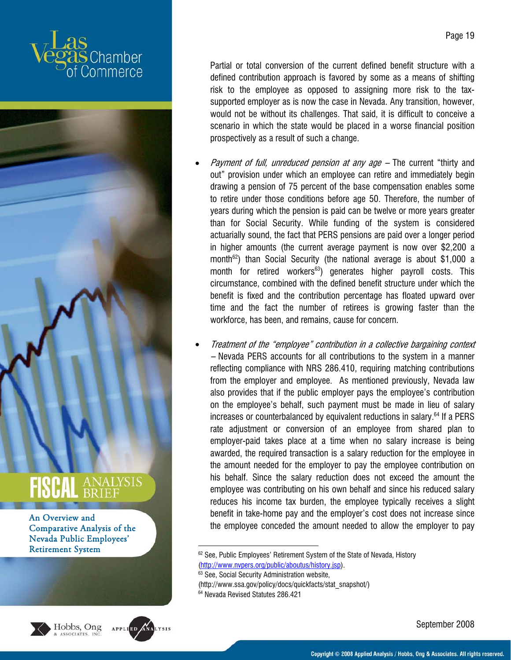



An Overview and Comparative Analysis of the Nevada Public Employees' Retirement System





Partial or total conversion of the current defined benefit structure with a defined contribution approach is favored by some as a means of shifting risk to the employee as opposed to assigning more risk to the taxsupported employer as is now the case in Nevada. Any transition, however, would not be without its challenges. That said, it is difficult to conceive a scenario in which the state would be placed in a worse financial position prospectively as a result of such a change.

- Payment of full, unreduced pension at any age The current "thirty and out" provision under which an employee can retire and immediately begin drawing a pension of 75 percent of the base compensation enables some to retire under those conditions before age 50. Therefore, the number of years during which the pension is paid can be twelve or more years greater than for Social Security. While funding of the system is considered actuarially sound, the fact that PERS pensions are paid over a longer period in higher amounts (the current average payment is now over \$2,200 a month<sup>62</sup>) than Social Security (the national average is about \$1,000 a month for retired workers<sup>63</sup>) generates higher payroll costs. This circumstance, combined with the defined benefit structure under which the benefit is fixed and the contribution percentage has floated upward over time and the fact the number of retirees is growing faster than the workforce, has been, and remains, cause for concern.
- Treatment of the "employee" contribution in a collective bargaining context – Nevada PERS accounts for all contributions to the system in a manner reflecting compliance with NRS 286.410, requiring matching contributions from the employer and employee. As mentioned previously, Nevada law also provides that if the public employer pays the employee's contribution on the employee's behalf, such payment must be made in lieu of salary increases or counterbalanced by equivalent reductions in salary. $64$  If a PERS rate adjustment or conversion of an employee from shared plan to employer-paid takes place at a time when no salary increase is being awarded, the required transaction is a salary reduction for the employee in the amount needed for the employer to pay the employee contribution on his behalf. Since the salary reduction does not exceed the amount the employee was contributing on his own behalf and since his reduced salary reduces his income tax burden, the employee typically receives a slight benefit in take-home pay and the employer's cost does not increase since the employee conceded the amount needed to allow the employer to pay

1 <sup>62</sup> See, Public Employees' Retirement System of the State of Nevada, History (http://www.nvpers.org/public/aboutus/history.jsp).<br><sup>63</sup> See, Social Security Administration website,

(http://www.ssa.gov/policy/docs/quickfacts/stat\_snapshot/)<br><sup>64</sup> Nevada Revised Statutes 286.421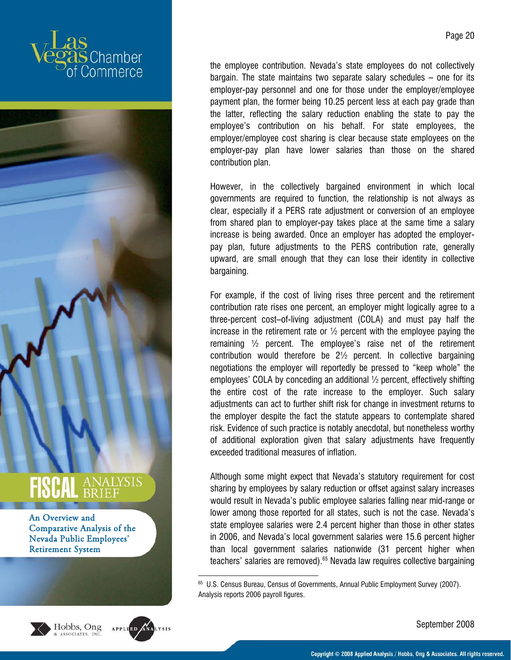



**SCAL** ANALYSIS An Overview and

Comparative Analysis of the Nevada Public Employees' Retirement System





1

the employee contribution. Nevada's state employees do not collectively bargain. The state maintains two separate salary schedules – one for its employer-pay personnel and one for those under the employer/employee payment plan, the former being 10.25 percent less at each pay grade than the latter, reflecting the salary reduction enabling the state to pay the employee's contribution on his behalf. For state employees, the employer/employee cost sharing is clear because state employees on the employer-pay plan have lower salaries than those on the shared contribution plan.

However, in the collectively bargained environment in which local governments are required to function, the relationship is not always as clear, especially if a PERS rate adjustment or conversion of an employee from shared plan to employer-pay takes place at the same time a salary increase is being awarded. Once an employer has adopted the employerpay plan, future adjustments to the PERS contribution rate, generally upward, are small enough that they can lose their identity in collective bargaining.

For example, if the cost of living rises three percent and the retirement contribution rate rises one percent, an employer might logically agree to a three-percent cost–of-living adjustment (COLA) and must pay half the increase in the retirement rate or  $\frac{1}{2}$  percent with the employee paying the remaining ½ percent. The employee's raise net of the retirement contribution would therefore be 2½ percent. In collective bargaining negotiations the employer will reportedly be pressed to "keep whole" the employees' COLA by conceding an additional ½ percent, effectively shifting the entire cost of the rate increase to the employer. Such salary adjustments can act to further shift risk for change in investment returns to the employer despite the fact the statute appears to contemplate shared risk. Evidence of such practice is notably anecdotal, but nonetheless worthy of additional exploration given that salary adjustments have frequently exceeded traditional measures of inflation.

Although some might expect that Nevada's statutory requirement for cost sharing by employees by salary reduction or offset against salary increases would result in Nevada's public employee salaries falling near mid-range or lower among those reported for all states, such is not the case. Nevada's state employee salaries were 2.4 percent higher than those in other states in 2006, and Nevada's local government salaries were 15.6 percent higher than local government salaries nationwide (31 percent higher when teachers' salaries are removed).<sup>65</sup> Nevada law requires collective bargaining

<sup>&</sup>lt;sup>65</sup> U.S. Census Bureau, Census of Governments, Annual Public Employment Survey (2007). Analysis reports 2006 payroll figures.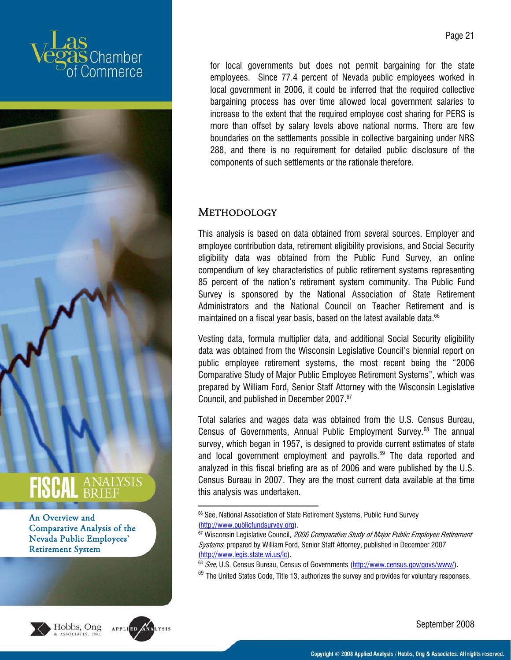







Page 21

for local governments but does not permit bargaining for the state employees. Since 77.4 percent of Nevada public employees worked in local government in 2006, it could be inferred that the required collective bargaining process has over time allowed local government salaries to increase to the extent that the required employee cost sharing for PERS is more than offset by salary levels above national norms. There are few boundaries on the settlements possible in collective bargaining under NRS 288, and there is no requirement for detailed public disclosure of the components of such settlements or the rationale therefore.

#### **METHODOLOGY**

1

This analysis is based on data obtained from several sources. Employer and employee contribution data, retirement eligibility provisions, and Social Security eligibility data was obtained from the Public Fund Survey, an online compendium of key characteristics of public retirement systems representing 85 percent of the nation's retirement system community. The Public Fund Survey is sponsored by the National Association of State Retirement Administrators and the National Council on Teacher Retirement and is maintained on a fiscal year basis, based on the latest available data.<sup>66</sup>

Vesting data, formula multiplier data, and additional Social Security eligibility data was obtained from the Wisconsin Legislative Council's biennial report on public employee retirement systems, the most recent being the "2006 Comparative Study of Major Public Employee Retirement Systems", which was prepared by William Ford, Senior Staff Attorney with the Wisconsin Legislative Council, and published in December 2007.67

Total salaries and wages data was obtained from the U.S. Census Bureau, Census of Governments, Annual Public Employment Survey.<sup>68</sup> The annual survey, which began in 1957, is designed to provide current estimates of state and local government employment and payrolls. $69$  The data reported and analyzed in this fiscal briefing are as of 2006 and were published by the U.S. Census Bureau in 2007. They are the most current data available at the time this analysis was undertaken.

<sup>66</sup> See, National Association of State Retirement Systems, Public Fund Survey (http://www.publicfundsurvey.org).<br><sup>67</sup> Wisconsin Legislative Council, *2006 Comparative Study of Major Public Employee Retirement* 

Systems, prepared by William Ford, Senior Staff Attorney, published in December 2007 (http://www.legis.state.wi.us/lc).<br><sup>68</sup> *See*, U.S. Census Bureau, Census of Governments (http://www.census.gov/govs/www/).

 $69$  The United States Code, Title 13, authorizes the survey and provides for voluntary responses.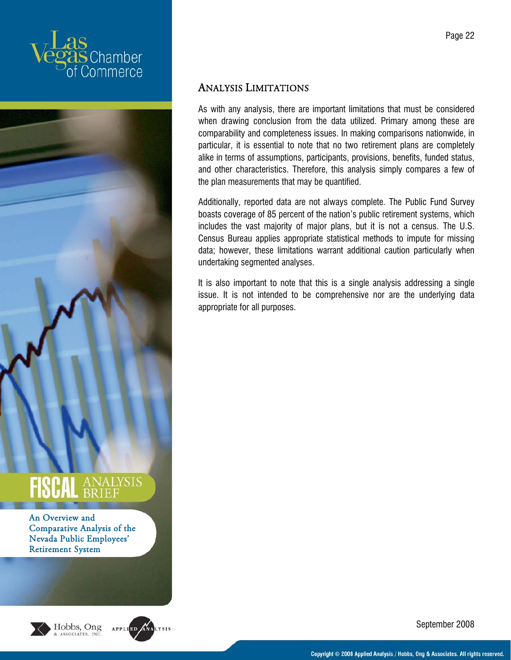



An Overview and Comparative Analysis of the Nevada Public Employees' Retirement System





#### ANALYSIS LIMITATIONS

As with any analysis, there are important limitations that must be considered when drawing conclusion from the data utilized. Primary among these are comparability and completeness issues. In making comparisons nationwide, in particular, it is essential to note that no two retirement plans are completely alike in terms of assumptions, participants, provisions, benefits, funded status, and other characteristics. Therefore, this analysis simply compares a few of the plan measurements that may be quantified.

Additionally, reported data are not always complete. The Public Fund Survey boasts coverage of 85 percent of the nation's public retirement systems, which includes the vast majority of major plans, but it is not a census. The U.S. Census Bureau applies appropriate statistical methods to impute for missing data; however, these limitations warrant additional caution particularly when undertaking segmented analyses.

It is also important to note that this is a single analysis addressing a single issue. It is not intended to be comprehensive nor are the underlying data appropriate for all purposes.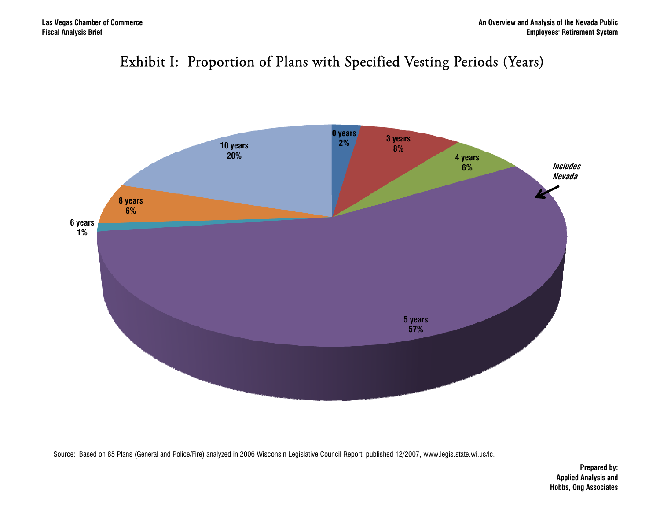



Source: Based on 85 Plans (General and Police/Fire) analyzed in 2006 Wisconsin Legislative Council Report, published 12/2007, www.legis.state.wi.us/lc.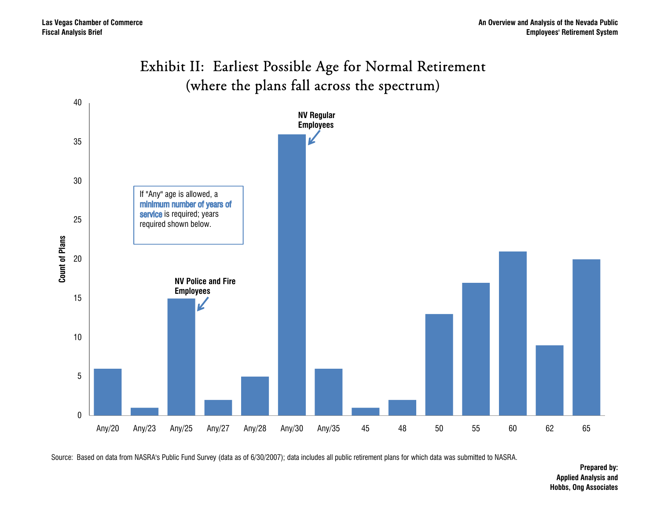#### Exhibit II: Earliest Possible Age for Normal Retirement (where the plans fall across the spectrum)



Source: Based on data from NASRA's Public Fund Survey (data as of 6/30/2007); data includes all public retirement plans for which data was submitted to NASRA.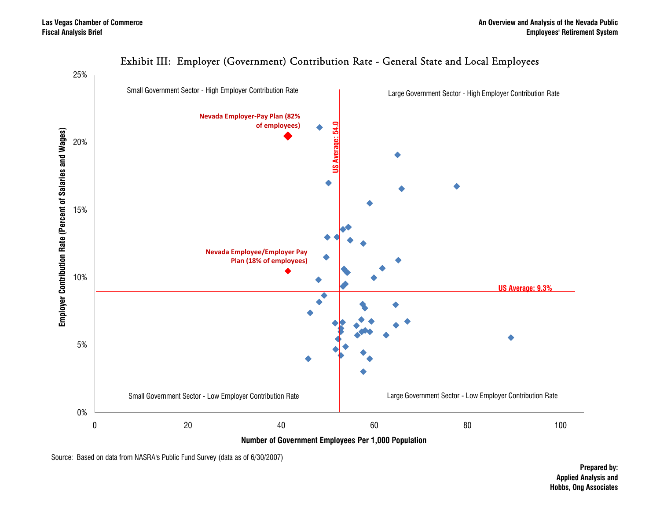

#### Exhibit III: Employer (Government) Contribution Rate - General State and Local Employees

Source: Based on data from NASRA's Public Fund Survey (data as of 6/30/2007)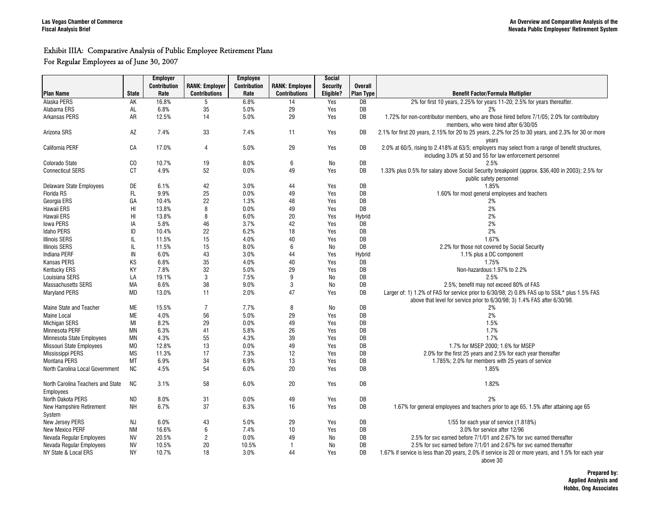#### Exhibit IIIA: Comparative Analysis of Public Employee Retirement Plans

For Regular Employees as of June 30, 2007

|                                   |                | <b>Employer</b>     |                       | Employee     |                       | Social          |                  |                                                                                                                 |
|-----------------------------------|----------------|---------------------|-----------------------|--------------|-----------------------|-----------------|------------------|-----------------------------------------------------------------------------------------------------------------|
|                                   |                | <b>Contribution</b> | <b>RANK: Employer</b> | Contribution | <b>RANK: Employee</b> | <b>Security</b> | <b>Overall</b>   |                                                                                                                 |
| <b>Plan Name</b>                  | <b>State</b>   | Rate                | <b>Contributions</b>  | Rate         | <b>Contributions</b>  | Eligible?       | <b>Plan Type</b> | <b>Benefit Factor/Formula Multiplier</b>                                                                        |
| Alaska PERS                       | AK             | 16.8%               | 5                     | 6.8%         | 14                    | Yes             | DB               | 2% for first 10 years, 2.25% for years 11-20; 2.5% for years thereafter.                                        |
| Alabama ERS                       | AL             | 6.8%                | 35                    | 5.0%         | 29                    | Yes             | DB               | 2%                                                                                                              |
| <b>Arkansas PERS</b>              | AR             | 12.5%               | 14                    | 5.0%         | 29                    | Yes             | DB               | 1.72% for non-contributor members, who are those hired before 7/1/05; 2.0% for contributory                     |
|                                   |                |                     |                       |              |                       |                 |                  | members, who were hired after 6/30/05                                                                           |
| Arizona SRS                       | AZ             | 7.4%                | 33                    | 7.4%         | 11                    | Yes             | DB               | 2.1% for first 20 years, 2.15% for 20 to 25 years, 2.2% for 25 to 30 years, and 2.3% for 30 or more             |
|                                   |                |                     |                       |              |                       |                 |                  |                                                                                                                 |
|                                   |                |                     | $\overline{4}$        |              |                       |                 |                  | years                                                                                                           |
| California PERF                   | CA             | 17.0%               |                       | 5.0%         | 29                    | Yes             | DB               | 2.0% at 60/5, rising to 2.418% at 63/5; employers may select from a range of benefit structures,                |
|                                   |                |                     |                       |              |                       |                 |                  | including 3.0% at 50 and 55 for law enforcement personnel                                                       |
| Colorado State                    | CO             | 10.7%               | 19                    | 8.0%         | 6                     | No              | DB               | 2.5%                                                                                                            |
| <b>Connecticut SERS</b>           | <b>CT</b>      | 4.9%                | 52                    | 0.0%         | 49                    | Yes             | DB               | 1.33% plus 0.5% for salary above Social Security breakpoint (approx. \$36,400 in 2003); 2.5% for                |
|                                   |                |                     |                       |              |                       |                 |                  | public safety personnel                                                                                         |
| Delaware State Employees          | DE             | 6.1%                | 42                    | 3.0%         | 44                    | Yes             | DB               | 1.85%                                                                                                           |
| <b>Florida RS</b>                 | FL.            | 9.9%                | 25                    | 0.0%         | 49                    | Yes             | DB               | 1.60% for most general employees and teachers                                                                   |
| Georgia ERS                       | GA             | 10.4%               | 22                    | 1.3%         | 48                    | Yes             | DB               | 2%                                                                                                              |
| Hawaii ERS                        | HI             | 13.8%               | 8                     | 0.0%         | 49                    | Yes             | DB               | 2%                                                                                                              |
| Hawaii ERS                        | HI             | 13.8%               | 8                     | 6.0%         | 20                    | Yes             | Hybrid           | 2%                                                                                                              |
| <b>Iowa PERS</b>                  | IA             | 5.8%                | 46                    | 3.7%         | 42                    | Yes             | DB               | 2%                                                                                                              |
| <b>Idaho PERS</b>                 | ID             | 10.4%               | 22                    | 6.2%         | 18                    | Yes             | DB               | 2%                                                                                                              |
| <b>Illinois SERS</b>              | IL             | 11.5%               | 15                    | 4.0%         | 40                    | Yes             | DB               | 1.67%                                                                                                           |
| <b>Illinois SERS</b>              | IL             | 11.5%               | 15                    | 8.0%         | 6                     | No              | DB               | 2.2% for those not covered by Social Security                                                                   |
| Indiana PERF                      | IN             | 6.0%                | 43                    | 3.0%         | 44                    | Yes             | Hybrid           | 1.1% plus a DC component                                                                                        |
| <b>Kansas PERS</b>                |                | 6.8%                | 35                    | 4.0%         | 40                    |                 | DB               | 1.75%                                                                                                           |
|                                   | KS             |                     |                       |              |                       | Yes             |                  |                                                                                                                 |
| <b>Kentucky ERS</b>               | KY             | 7.8%                | 32                    | 5.0%         | 29                    | Yes             | DB               | Non-hazardous: 1.97% to 2.2%                                                                                    |
| Louisiana SERS                    | LA             | 19.1%               | 3                     | 7.5%         | 9                     | No              | DB               | 2.5%                                                                                                            |
| <b>Massachusetts SERS</b>         | MA             | 6.6%                | 38                    | 9.0%         | 3                     | No              | DB               | 2.5%; benefit may not exceed 80% of FAS                                                                         |
| <b>Maryland PERS</b>              | <b>MD</b>      | 13.0%               | 11                    | 2.0%         | 47                    | Yes             | DB               | Larger of: 1) 1.2% of FAS for service prior to 6/30/98; 2) 0.8% FAS up to SSIL* plus 1.5% FAS                   |
|                                   |                |                     |                       |              |                       |                 |                  | above that level for service prior to 6/30/98; 3) 1.4% FAS after 6/30/98.                                       |
| Maine State and Teacher           | <b>ME</b>      | 15.5%               | $\overline{7}$        | 7.7%         | 8                     | No              | DB               | 2%                                                                                                              |
| <b>Maine Local</b>                | <b>ME</b>      | 4.0%                | 56                    | 5.0%         | 29                    | Yes             | DB               | 2%                                                                                                              |
| Michigan SERS                     | MI             | 8.2%                | 29                    | 0.0%         | 49                    | Yes             | DB               | 1.5%                                                                                                            |
| Minnesota PERF                    | <b>MN</b>      | 6.3%                | 41                    | 5.8%         | 26                    | Yes             | DB               | 1.7%                                                                                                            |
| Minnesota State Employees         | <b>MN</b>      | 4.3%                | 55                    | 4.3%         | 39                    | Yes             | DB               | 1.7%                                                                                                            |
| <b>Missouri State Employees</b>   | M <sub>0</sub> | 12.8%               | 13                    | 0.0%         | 49                    | Yes             | DB               | 1.7% for MSEP 2000: 1.6% for MSEP                                                                               |
| Mississippi PERS                  | <b>MS</b>      | 11.3%               | 17                    | 7.3%         | 12                    | Yes             | DB               | 2.0% for the first 25 years and 2.5% for each year thereafter                                                   |
| <b>Montana PERS</b>               | MT             | 6.9%                | 34                    | 6.9%         | 13                    | Yes             | DB               | 1.785%; 2.0% for members with 25 years of service                                                               |
| North Carolina Local Government   | NC             | 4.5%                | 54                    | 6.0%         | 20                    | Yes             | DB               | 1.85%                                                                                                           |
|                                   |                |                     |                       |              |                       |                 |                  |                                                                                                                 |
| North Carolina Teachers and State | <b>NC</b>      | 3.1%                | 58                    | 6.0%         | 20                    | Yes             | DB               | 1.82%                                                                                                           |
| Employees                         |                |                     |                       |              |                       |                 |                  |                                                                                                                 |
| North Dakota PERS                 | <b>ND</b>      | 8.0%                | 31                    | 0.0%         | 49                    | Yes             | DB               | 2%                                                                                                              |
|                                   |                |                     | 37                    |              |                       |                 |                  |                                                                                                                 |
| New Hampshire Retirement          | <b>NH</b>      | 6.7%                |                       | 6.3%         | 16                    | Yes             | DB               | 1.67% for general employees and teachers prior to age 65, 1.5% after attaining age 65                           |
| System                            |                |                     |                       |              |                       |                 |                  |                                                                                                                 |
| New Jersey PERS                   | <b>NJ</b>      | 6.0%                | 43                    | 5.0%         | 29                    | Yes             | DB               | 1/55 for each year of service (1.818%)                                                                          |
| New Mexico PERF                   | <b>NM</b>      | 16.6%               | 6                     | 7.4%         | 10                    | Yes             | DB               | 3.0% for service after 12/96                                                                                    |
| Nevada Regular Employees          | <b>NV</b>      | 20.5%               | $\overline{2}$        | 0.0%         | 49                    | No              | DB               | 2.5% for svc earned before 7/1/01 and 2.67% for svc earned thereafter                                           |
| Nevada Regular Employees          | <b>NV</b>      | 10.5%               | 20                    | 10.5%        | $\mathbf{1}$          | No              | DB               | 2.5% for svc earned before 7/1/01 and 2.67% for svc earned thereafter                                           |
| NY State & Local ERS              | <b>NY</b>      | 10.7%               | 18                    | 3.0%         | 44                    | Yes             | DB               | 1.67% if service is less than 20 years, 2.0% if service is 20 or more years, and 1.5% for each year<br>above 30 |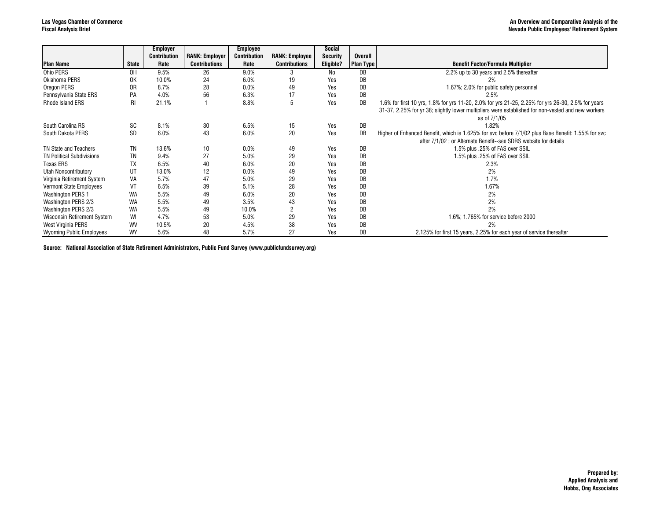|                                  |              | <b>Employer</b>     |                       | <b>Employee</b>     |                       | Social          |                  |                                                                                                    |
|----------------------------------|--------------|---------------------|-----------------------|---------------------|-----------------------|-----------------|------------------|----------------------------------------------------------------------------------------------------|
|                                  |              | <b>Contribution</b> | <b>RANK: Employer</b> | <b>Contribution</b> | <b>RANK: Employee</b> | <b>Security</b> | <b>Overall</b>   |                                                                                                    |
| <b>Plan Name</b>                 | <b>State</b> | Rate                | <b>Contributions</b>  | Rate                | <b>Contributions</b>  | Eligible?       | <b>Plan Type</b> | <b>Benefit Factor/Formula Multiplier</b>                                                           |
| Ohio PERS                        | 0H           | 9.5%                | 26                    | 9.0%                |                       | No              | DB               | 2.2% up to 30 years and 2.5% thereafter                                                            |
| Oklahoma PERS                    | 0K           | 10.0%               | 24                    | 6.0%                | 19                    | Yes             | DB               | 2%                                                                                                 |
| Oregon PERS                      | 0R           | 8.7%                | 28                    | 0.0%                | 49                    | Yes             | DB               | 1.67%; 2.0% for public safety personnel                                                            |
| Pennsylvania State ERS           | PA           | 4.0%                | 56                    | 6.3%                | 17                    | Yes             | DB               | 2.5%                                                                                               |
| Rhode Island ERS                 | RI.          | 21.1%               |                       | 8.8%                | 5                     | Yes             | DB               | 1.6% for first 10 yrs, 1.8% for yrs 11-20, 2.0% for yrs 21-25, 2.25% for yrs 26-30, 2.5% for years |
|                                  |              |                     |                       |                     |                       |                 |                  | 31-37, 2.25% for yr 38; slightly lower multipliers were established for non-vested and new workers |
|                                  |              |                     |                       |                     |                       |                 |                  | as of 7/1/05                                                                                       |
| South Carolina RS                | SC           | 8.1%                | 30                    | 6.5%                | 15                    | Yes             | DB               | 1.82%                                                                                              |
| South Dakota PERS                | <b>SD</b>    | 6.0%                | 43                    | 6.0%                | 20                    | Yes             | DB               | Higher of Enhanced Benefit, which is 1.625% for svc before 7/1/02 plus Base Benefit: 1.55% for svc |
|                                  |              |                     |                       |                     |                       |                 |                  | after 7/1/02 ; or Alternate Benefit--see SDRS website for details                                  |
| TN State and Teachers            | TN           | 13.6%               | 10                    | 0.0%                | 49                    | Yes             | DB               | 1.5% plus .25% of FAS over SSIL                                                                    |
| <b>TN Political Subdivisions</b> | ΤN           | 9.4%                | 27                    | 5.0%                | 29                    | Yes             | DB               | 1.5% plus .25% of FAS over SSIL                                                                    |
| <b>Texas ERS</b>                 | TX           | 6.5%                | 40                    | 6.0%                | 20                    | Yes             | DB               | 2.3%                                                                                               |
| Utah Noncontributory             | UT           | 13.0%               | 12                    | 0.0%                | 49                    | Yes             | DB               | 2%                                                                                                 |
| Virginia Retirement System       | VA           | 5.7%                | 47                    | 5.0%                | 29                    | Yes             | DB               | 1.7%                                                                                               |
| <b>Vermont State Employees</b>   | VT           | 6.5%                | 39                    | 5.1%                | 28                    | Yes             | DB               | 1.67%                                                                                              |
| <b>Washington PERS 1</b>         | WA           | 5.5%                | 49                    | 6.0%                | 20                    | Yes             | DB               | 2%                                                                                                 |
| Washington PERS 2/3              | WA           | 5.5%                | 49                    | 3.5%                | 43                    | Yes             | DB               | 2%                                                                                                 |
| Washington PERS 2/3              | WA           | 5.5%                | 49                    | 10.0%               | 2                     | Yes             | DB               | 2%                                                                                                 |
| Wisconsin Retirement System      | WI           | 4.7%                | 53                    | 5.0%                | 29                    | Yes             | DB               | 1.6%; 1.765% for service before 2000                                                               |
| West Virginia PERS               | WV           | 10.5%               | 20                    | 4.5%                | 38                    | Yes             | DB               | 2%                                                                                                 |
| <b>Wyoming Public Employees</b>  | WY           | 5.6%                | 48                    | 5.7%                | 27                    | Yes             | DB               | 2.125% for first 15 years, 2.25% for each year of service thereafter                               |

**Source: National Association of State Retirement Administrators, Public Fund Survey (www.publicfundsurvey.org)**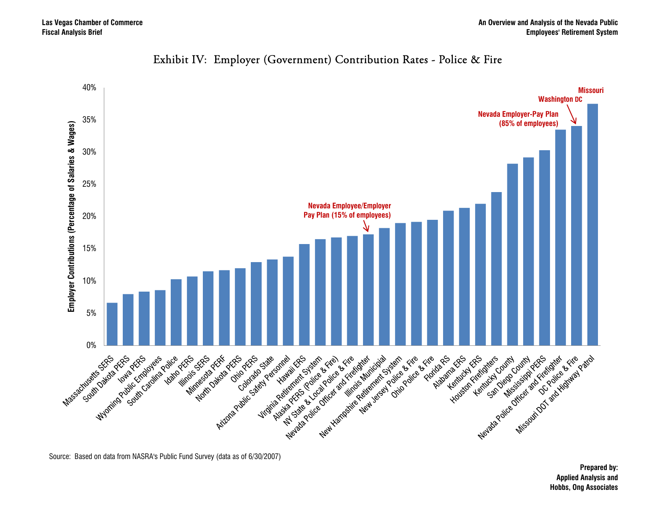

#### Exhibit IV: Employer (Government) Contribution Rates - Police & Fire

Source: Based on data from NASRA's Public Fund Survey (data as of 6/30/2007)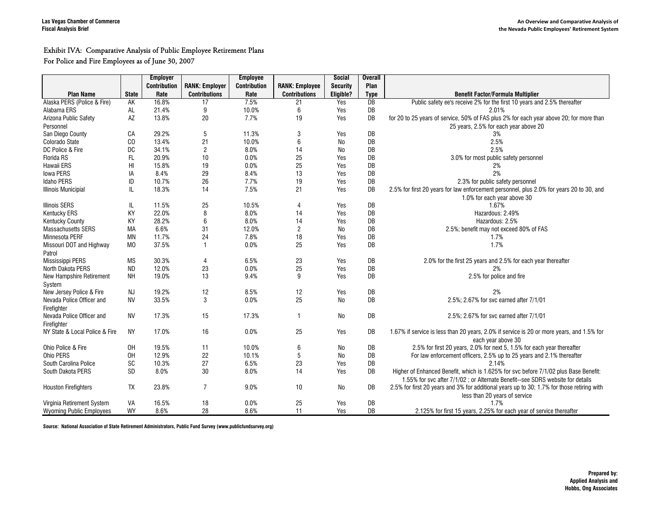#### Exhibit IVA: Comparative Analysis of Public Employee Retirement Plans

#### For Police and Fire Employees as of June 30, 2007

|                                 |                | <b>Employer</b>     |                       | <b>Employee</b>     |                       | Social          | <b>Overall</b> |                                                                                            |
|---------------------------------|----------------|---------------------|-----------------------|---------------------|-----------------------|-----------------|----------------|--------------------------------------------------------------------------------------------|
|                                 |                | <b>Contribution</b> | <b>RANK: Employer</b> | <b>Contribution</b> | <b>RANK: Employee</b> | <b>Security</b> | Plan           |                                                                                            |
| <b>Plan Name</b>                | <b>State</b>   | Rate                | <b>Contributions</b>  | Rate                | <b>Contributions</b>  | Eligible?       | <b>Type</b>    | <b>Benefit Factor/Formula Multiplier</b>                                                   |
| Alaska PERS (Police & Fire)     | AK             | 16.8%               | 17                    | 7.5%                | 21                    | Yes             | DB             | Public safety ee's receive 2% for the first 10 years and 2.5% thereafter                   |
| Alabama ERS                     | AL             | 21.4%               | 9                     | 10.0%               | 6                     | Yes             | DB             | 2.01%                                                                                      |
| Arizona Public Safety           | AZ             | 13.8%               | 20                    | 7.7%                | 19                    | Yes             | DB             | for 20 to 25 years of service, 50% of FAS plus 2% for each year above 20; for more than    |
| Personnel                       |                |                     |                       |                     |                       |                 |                | 25 years, 2.5% for each year above 20                                                      |
| San Diego County                | CA             | 29.2%               | 5                     | 11.3%               | 3                     | Yes             | DB             | 3%                                                                                         |
| Colorado State                  | CO             | 13.4%               | 21                    | 10.0%               | 6                     | <b>No</b>       | DB             | 2.5%                                                                                       |
| DC Police & Fire                | DC             | 34.1%               | $\sqrt{2}$            | 8.0%                | 14                    | No              | DB             | 2.5%                                                                                       |
| Florida RS                      | FL             | 20.9%               | 10                    | 0.0%                | 25                    | Yes             | DB             | 3.0% for most public safety personnel                                                      |
| Hawaii ERS                      | HI             | 15.8%               | 19                    | 0.0%                | 25                    | Yes             | DB             | 2%                                                                                         |
| <b>Iowa PERS</b>                | IA             | 8.4%                | 29                    | 8.4%                | 13                    | Yes             | DB             | 2%                                                                                         |
| <b>Idaho PERS</b>               | ID             | 10.7%               | 26                    | 7.7%                | 19                    | Yes             | DB             | 2.3% for public safety personnel                                                           |
| <b>Illinois Municipial</b>      | IL             | 18.3%               | 14                    | 7.5%                | 21                    | Yes             | DB             | 2.5% for first 20 years for law enforcement personnel, plus 2.0% for years 20 to 30, and   |
|                                 |                |                     |                       |                     |                       |                 |                | 1.0% for each year above 30                                                                |
| <b>Illinois SERS</b>            | IL             | 11.5%               | 25                    | 10.5%               | 4                     | Yes             | DB             | 1.67%                                                                                      |
| <b>Kentucky ERS</b>             | KY             | 22.0%               | 8                     | 8.0%                | 14                    | Yes             | DB             | Hazardous: 2.49%                                                                           |
| <b>Kentucky County</b>          | KY             | 28.2%               | $\,6\,$               | 8.0%                | 14                    | Yes             | DB             | Hazardous: 2.5%                                                                            |
| <b>Massachusetts SERS</b>       | <b>MA</b>      | 6.6%                | 31                    | 12.0%               | $\overline{c}$        | <b>No</b>       | DB             | 2.5%; benefit may not exceed 80% of FAS                                                    |
| Minnesota PERF                  | <b>MN</b>      | 11.7%               | 24                    | 7.8%                | 18                    | Yes             | DB             | 1.7%                                                                                       |
| Missouri DOT and Highway        | M <sub>0</sub> | 37.5%               | $\mathbf{1}$          | 0.0%                | 25                    | Yes             | DB             | 1.7%                                                                                       |
| Patrol                          |                |                     |                       |                     |                       |                 |                |                                                                                            |
| Mississippi PERS                | <b>MS</b>      | 30.3%               | $\overline{4}$        | 6.5%                | 23                    | Yes             | DB             | 2.0% for the first 25 years and 2.5% for each year thereafter                              |
| North Dakota PERS               | <b>ND</b>      | 12.0%               | 23                    | 0.0%                | 25                    | Yes             | DB             | 2%                                                                                         |
| New Hampshire Retirement        | <b>NH</b>      | 19.0%               | 13                    | 9.4%                | 9                     | Yes             | DB             | 2.5% for police and fire                                                                   |
| System                          |                |                     |                       |                     |                       |                 |                |                                                                                            |
| New Jersey Police & Fire        | <b>NJ</b>      | 19.2%               | 12                    | 8.5%                | 12                    | Yes             | DB             | 2%                                                                                         |
| Nevada Police Officer and       | <b>NV</b>      | 33.5%               | 3                     | 0.0%                | 25                    | No              | DB             | 2.5%; 2.67% for svc earned after 7/1/01                                                    |
| Firefighter                     |                |                     |                       |                     |                       |                 |                |                                                                                            |
| Nevada Police Officer and       | <b>NV</b>      | 17.3%               | 15                    | 17.3%               | 1                     | No              | DB             | 2.5%; 2.67% for svc earned after 7/1/01                                                    |
| Firefighter                     |                |                     |                       |                     |                       |                 |                |                                                                                            |
| NY State & Local Police & Fire  | <b>NY</b>      | 17.0%               | 16                    | 0.0%                | 25                    | Yes             | DB             | 1.67% if service is less than 20 years, 2.0% if service is 20 or more years, and 1.5% for  |
|                                 |                |                     |                       |                     |                       |                 |                | each vear above 30                                                                         |
| Ohio Police & Fire              | OH             | 19.5%               | 11                    | 10.0%               | 6                     | No              | DB             | 2.5% for first 20 years, 2.0% for next 5, 1.5% for each year thereafter                    |
| Ohio PERS                       | OH             | 12.9%               | 22                    | 10.1%               | 5                     | <b>No</b>       | DB             | For law enforcement officers, 2.5% up to 25 years and 2.1% thereafter                      |
| South Carolina Police           | <b>SC</b>      | 10.3%               | 27                    | 6.5%                | 23                    | Yes             | DB             | 2.14%                                                                                      |
| South Dakota PERS               | <b>SD</b>      | 8.0%                | 30                    | 8.0%                | 14                    | Yes             | DB             | Higher of Enhanced Benefit, which is 1.625% for svc before 7/1/02 plus Base Benefit:       |
|                                 |                |                     |                       |                     |                       |                 |                | 1.55% for svc after 7/1/02 ; or Alternate Benefit--see SDRS website for details            |
| <b>Houston Firefighters</b>     | <b>TX</b>      | 23.8%               | $\overline{7}$        | 9.0%                | 10                    | No              | DB             | 2.5% for first 20 years and 3% for additional years up to 30; 1.7% for those retiring with |
|                                 |                |                     |                       |                     |                       |                 |                | less than 20 years of service                                                              |
| Virginia Retirement System      | VA             | 16.5%               | 18                    | 0.0%                | 25                    | Yes             | DB             | 1.7%                                                                                       |
| <b>Wyoming Public Employees</b> | WY             | 8.6%                | 28                    | 8.6%                | 11                    | Yes             | DB             | 2.125% for first 15 years, 2.25% for each year of service thereafter                       |

**Source: National Association of State Retirement Administrators, Public Fund Survey (www.publicfundsurvey.org)**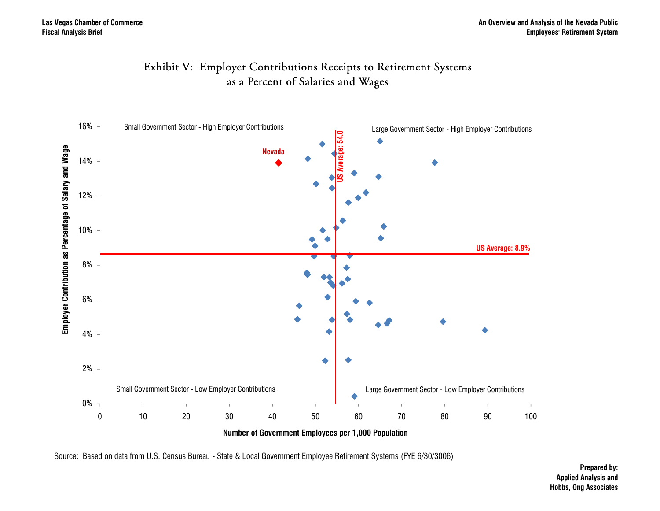



Source: Based on data from U.S. Census Bureau - State & Local Government Employee Retirement Systems (FYE 6/30/3006)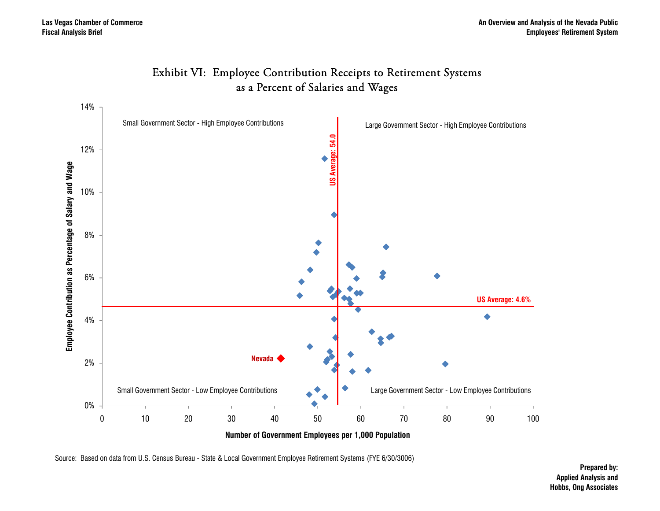

#### Exhibit VI: Employee Contribution Receipts to Retirement Systems as a Percent of Salaries and Wages

Source: Based on data from U.S. Census Bureau - State & Local Government Employee Retirement Systems (FYE 6/30/3006)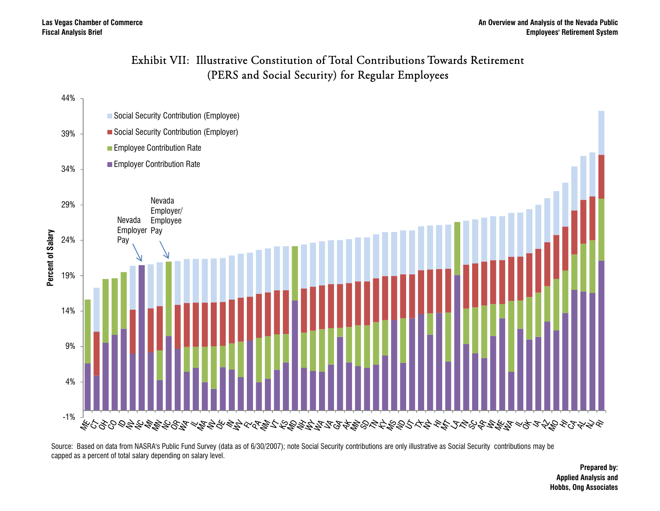#### Exhibit VII: Illustrative Constitution of Total Contributions Towards Retirement (PERS and Social Security) for Regular Employees



Source: Based on data from NASRA's Public Fund Survey (data as of 6/30/2007); note Social Security contributions are only illustrative as Social Security contributions may be capped as a percent of total salary depending on salary level.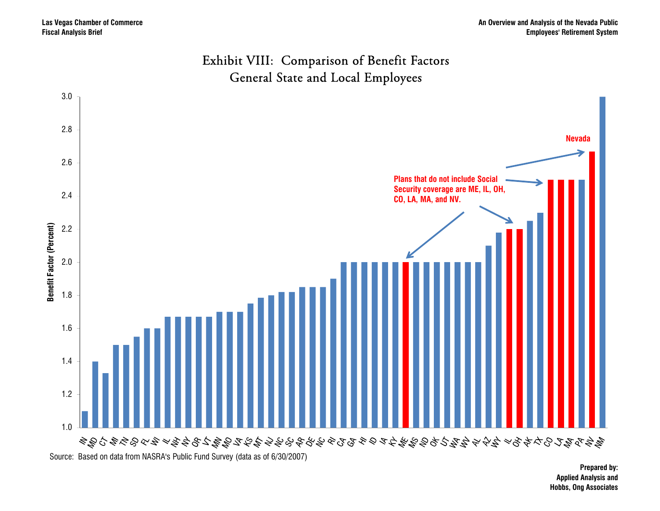

#### Exhibit VIII: Comparison of Benefit Factors General State and Local Employees

Source: Based on data from NASRA's Public Fund Survey (data as of 6/30/2007)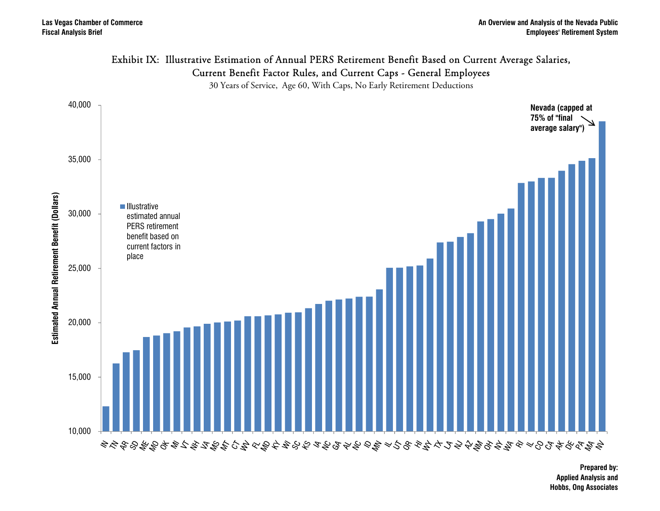

### Exhibit IX: Illustrative Estimation of Annual PERS Retirement Benefit Based on Current Average Salaries,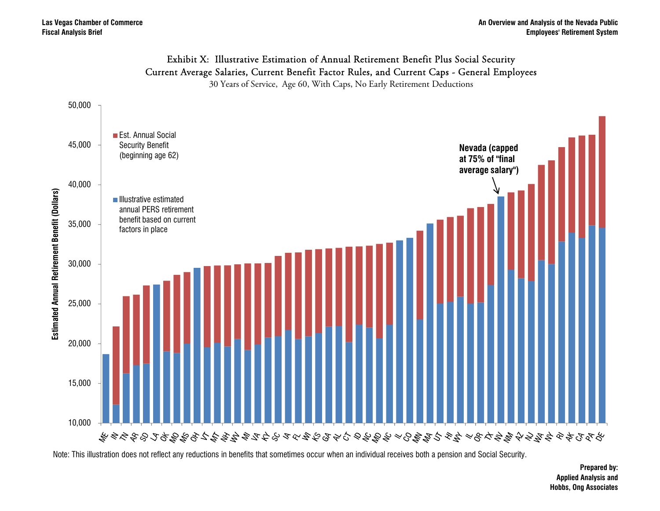#### Exhibit X: Illustrative Estimation of Annual Retirement Benefit Plus Social Security Current Average Salaries, Current Benefit Factor Rules, and Current Caps - General Employees

30 Years of Service, Age 60, With Caps, No Early Retirement Deductions



Note: This illustration does not reflect any reductions in benefits that sometimes occur when an individual receives both a pension and Social Security.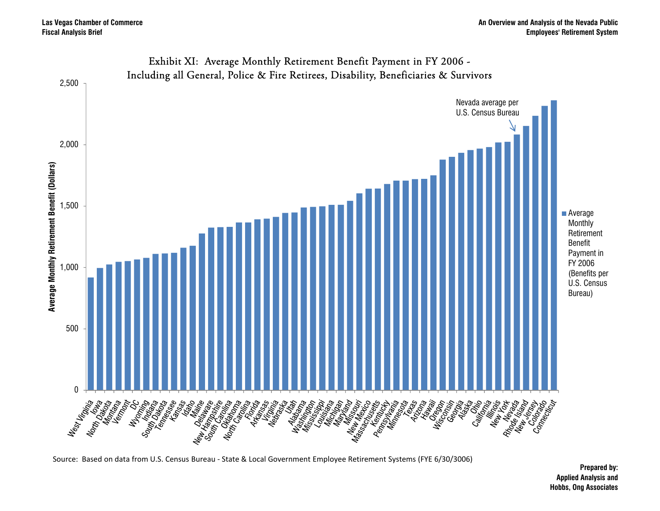

## Exhibit XI: Average Monthly Retirement Benefit Payment in FY 2006 -

Source: Based on data from U.S. Census Bureau ‐ State & Local Government Employee Retirement Systems (FYE 6/30/3006)